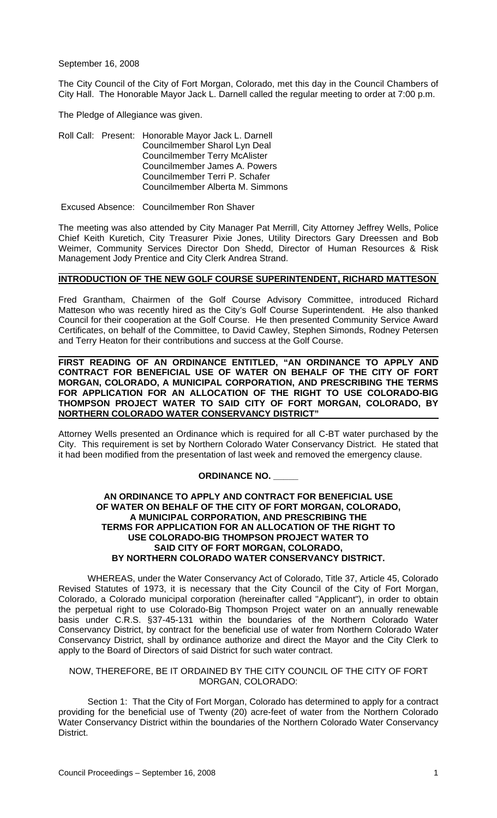September 16, 2008

The City Council of the City of Fort Morgan, Colorado, met this day in the Council Chambers of City Hall. The Honorable Mayor Jack L. Darnell called the regular meeting to order at 7:00 p.m.

The Pledge of Allegiance was given.

Roll Call: Present: Honorable Mayor Jack L. Darnell Councilmember Sharol Lyn Deal Councilmember Terry McAlister Councilmember James A. Powers Councilmember Terri P. Schafer Councilmember Alberta M. Simmons

Excused Absence: Councilmember Ron Shaver

The meeting was also attended by City Manager Pat Merrill, City Attorney Jeffrey Wells, Police Chief Keith Kuretich, City Treasurer Pixie Jones, Utility Directors Gary Dreessen and Bob Weimer, Community Services Director Don Shedd, Director of Human Resources & Risk Management Jody Prentice and City Clerk Andrea Strand.

#### **INTRODUCTION OF THE NEW GOLF COURSE SUPERINTENDENT, RICHARD MATTESON**

Fred Grantham, Chairmen of the Golf Course Advisory Committee, introduced Richard Matteson who was recently hired as the City's Golf Course Superintendent. He also thanked Council for their cooperation at the Golf Course. He then presented Community Service Award Certificates, on behalf of the Committee, to David Cawley, Stephen Simonds, Rodney Petersen and Terry Heaton for their contributions and success at the Golf Course.

 **FIRST READING OF AN ORDINANCE ENTITLED, "AN ORDINANCE TO APPLY AND CONTRACT FOR BENEFICIAL USE OF WATER ON BEHALF OF THE CITY OF FORT MORGAN, COLORADO, A MUNICIPAL CORPORATION, AND PRESCRIBING THE TERMS FOR APPLICATION FOR AN ALLOCATION OF THE RIGHT TO USE COLORADO-BIG THOMPSON PROJECT WATER TO SAID CITY OF FORT MORGAN, COLORADO, BY NORTHERN COLORADO WATER CONSERVANCY DISTRICT"** 

Attorney Wells presented an Ordinance which is required for all C-BT water purchased by the City. This requirement is set by Northern Colorado Water Conservancy District. He stated that it had been modified from the presentation of last week and removed the emergency clause.

## **ORDINANCE NO. \_\_\_\_\_**

#### **AN ORDINANCE TO APPLY AND CONTRACT FOR BENEFICIAL USE OF WATER ON BEHALF OF THE CITY OF FORT MORGAN, COLORADO, A MUNICIPAL CORPORATION, AND PRESCRIBING THE TERMS FOR APPLICATION FOR AN ALLOCATION OF THE RIGHT TO USE COLORADO-BIG THOMPSON PROJECT WATER TO SAID CITY OF FORT MORGAN, COLORADO, BY NORTHERN COLORADO WATER CONSERVANCY DISTRICT.**

 WHEREAS, under the Water Conservancy Act of Colorado, Title 37, Article 45, Colorado Revised Statutes of 1973, it is necessary that the City Council of the City of Fort Morgan, Colorado, a Colorado municipal corporation (hereinafter called "Applicant"), in order to obtain the perpetual right to use Colorado-Big Thompson Project water on an annually renewable basis under C.R.S. §37-45-131 within the boundaries of the Northern Colorado Water Conservancy District, by contract for the beneficial use of water from Northern Colorado Water Conservancy District, shall by ordinance authorize and direct the Mayor and the City Clerk to apply to the Board of Directors of said District for such water contract.

#### NOW, THEREFORE, BE IT ORDAINED BY THE CITY COUNCIL OF THE CITY OF FORT MORGAN, COLORADO:

 Section 1: That the City of Fort Morgan, Colorado has determined to apply for a contract providing for the beneficial use of Twenty (20) acre-feet of water from the Northern Colorado Water Conservancy District within the boundaries of the Northern Colorado Water Conservancy District.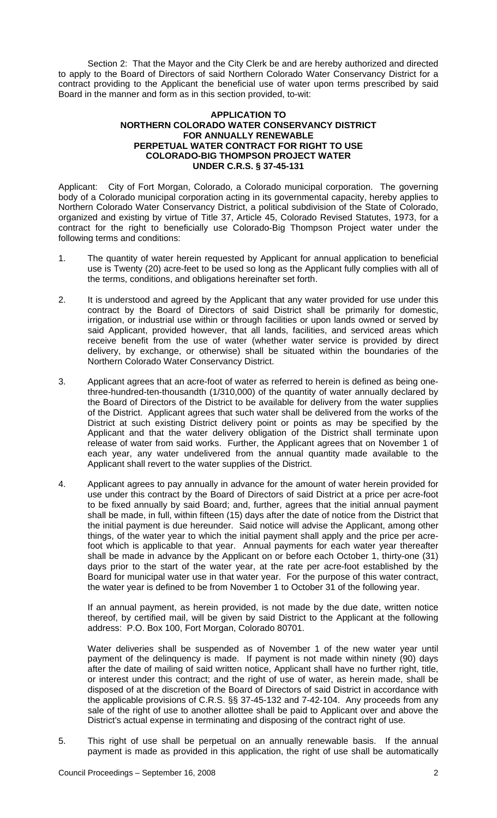Section 2: That the Mayor and the City Clerk be and are hereby authorized and directed to apply to the Board of Directors of said Northern Colorado Water Conservancy District for a contract providing to the Applicant the beneficial use of water upon terms prescribed by said Board in the manner and form as in this section provided, to-wit:

#### **APPLICATION TO NORTHERN COLORADO WATER CONSERVANCY DISTRICT FOR ANNUALLY RENEWABLE PERPETUAL WATER CONTRACT FOR RIGHT TO USE COLORADO-BIG THOMPSON PROJECT WATER UNDER C.R.S. § 37-45-131**

Applicant: City of Fort Morgan, Colorado, a Colorado municipal corporation. The governing body of a Colorado municipal corporation acting in its governmental capacity, hereby applies to Northern Colorado Water Conservancy District, a political subdivision of the State of Colorado, organized and existing by virtue of Title 37, Article 45, Colorado Revised Statutes, 1973, for a contract for the right to beneficially use Colorado-Big Thompson Project water under the following terms and conditions:

- 1. The quantity of water herein requested by Applicant for annual application to beneficial use is Twenty (20) acre-feet to be used so long as the Applicant fully complies with all of the terms, conditions, and obligations hereinafter set forth.
- 2. It is understood and agreed by the Applicant that any water provided for use under this contract by the Board of Directors of said District shall be primarily for domestic, irrigation, or industrial use within or through facilities or upon lands owned or served by said Applicant, provided however, that all lands, facilities, and serviced areas which receive benefit from the use of water (whether water service is provided by direct delivery, by exchange, or otherwise) shall be situated within the boundaries of the Northern Colorado Water Conservancy District.
- 3. Applicant agrees that an acre-foot of water as referred to herein is defined as being onethree-hundred-ten-thousandth (1/310,000) of the quantity of water annually declared by the Board of Directors of the District to be available for delivery from the water supplies of the District. Applicant agrees that such water shall be delivered from the works of the District at such existing District delivery point or points as may be specified by the Applicant and that the water delivery obligation of the District shall terminate upon release of water from said works. Further, the Applicant agrees that on November 1 of each year, any water undelivered from the annual quantity made available to the Applicant shall revert to the water supplies of the District.
- 4. Applicant agrees to pay annually in advance for the amount of water herein provided for use under this contract by the Board of Directors of said District at a price per acre-foot to be fixed annually by said Board; and, further, agrees that the initial annual payment shall be made, in full, within fifteen (15) days after the date of notice from the District that the initial payment is due hereunder. Said notice will advise the Applicant, among other things, of the water year to which the initial payment shall apply and the price per acrefoot which is applicable to that year. Annual payments for each water year thereafter shall be made in advance by the Applicant on or before each October 1, thirty-one (31) days prior to the start of the water year, at the rate per acre-foot established by the Board for municipal water use in that water year. For the purpose of this water contract, the water year is defined to be from November 1 to October 31 of the following year.

If an annual payment, as herein provided, is not made by the due date, written notice thereof, by certified mail, will be given by said District to the Applicant at the following address: P.O. Box 100, Fort Morgan, Colorado 80701.

Water deliveries shall be suspended as of November 1 of the new water year until payment of the delinquency is made. If payment is not made within ninety (90) days after the date of mailing of said written notice, Applicant shall have no further right, title, or interest under this contract; and the right of use of water, as herein made, shall be disposed of at the discretion of the Board of Directors of said District in accordance with the applicable provisions of C.R.S. §§ 37-45-132 and 7-42-104. Any proceeds from any sale of the right of use to another allottee shall be paid to Applicant over and above the District's actual expense in terminating and disposing of the contract right of use.

5. This right of use shall be perpetual on an annually renewable basis. If the annual payment is made as provided in this application, the right of use shall be automatically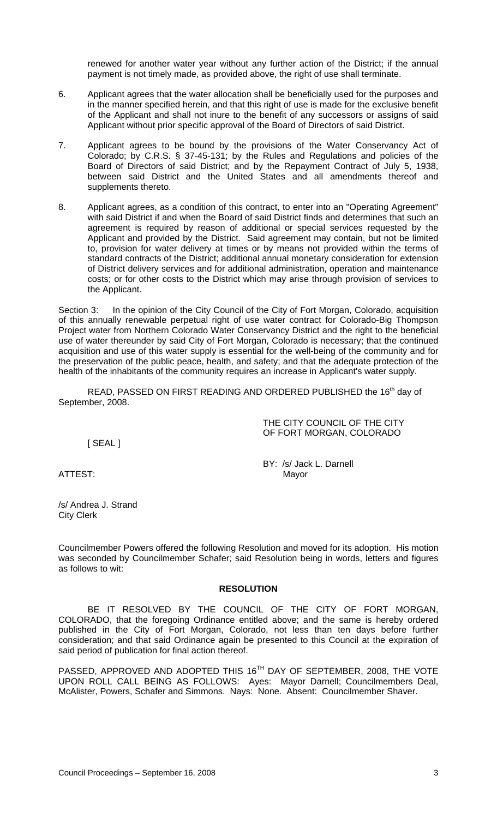renewed for another water year without any further action of the District; if the annual payment is not timely made, as provided above, the right of use shall terminate.

- 6. Applicant agrees that the water allocation shall be beneficially used for the purposes and in the manner specified herein, and that this right of use is made for the exclusive benefit of the Applicant and shall not inure to the benefit of any successors or assigns of said Applicant without prior specific approval of the Board of Directors of said District.
- 7. Applicant agrees to be bound by the provisions of the Water Conservancy Act of Colorado; by C.R.S. § 37-45-131; by the Rules and Regulations and policies of the Board of Directors of said District; and by the Repayment Contract of July 5, 1938, between said District and the United States and all amendments thereof and supplements thereto.
- 8. Applicant agrees, as a condition of this contract, to enter into an "Operating Agreement" with said District if and when the Board of said District finds and determines that such an agreement is required by reason of additional or special services requested by the Applicant and provided by the District. Said agreement may contain, but not be limited to, provision for water delivery at times or by means not provided within the terms of standard contracts of the District; additional annual monetary consideration for extension of District delivery services and for additional administration, operation and maintenance costs; or for other costs to the District which may arise through provision of services to the Applicant.

Section 3: In the opinion of the City Council of the City of Fort Morgan, Colorado, acquisition of this annually renewable perpetual right of use water contract for Colorado-Big Thompson Project water from Northern Colorado Water Conservancy District and the right to the beneficial use of water thereunder by said City of Fort Morgan, Colorado is necessary; that the continued acquisition and use of this water supply is essential for the well-being of the community and for the preservation of the public peace, health, and safety; and that the adequate protection of the health of the inhabitants of the community requires an increase in Applicant's water supply.

READ, PASSED ON FIRST READING AND ORDERED PUBLISHED the 16<sup>th</sup> day of September, 2008.

> THE CITY COUNCIL OF THE CITY OF FORT MORGAN, COLORADO

[ SEAL ]

BY: /s/ Jack L. Darnell ATTEST: Mayor

/s/ Andrea J. Strand City Clerk

Councilmember Powers offered the following Resolution and moved for its adoption. His motion was seconded by Councilmember Schafer; said Resolution being in words, letters and figures as follows to wit:

#### **RESOLUTION**

 BE IT RESOLVED BY THE COUNCIL OF THE CITY OF FORT MORGAN, COLORADO, that the foregoing Ordinance entitled above; and the same is hereby ordered published in the City of Fort Morgan, Colorado, not less than ten days before further consideration; and that said Ordinance again be presented to this Council at the expiration of said period of publication for final action thereof.

PASSED, APPROVED AND ADOPTED THIS 16<sup>TH</sup> DAY OF SEPTEMBER, 2008, THE VOTE UPON ROLL CALL BEING AS FOLLOWS: Ayes: Mayor Darnell; Councilmembers Deal, McAlister, Powers, Schafer and Simmons. Nays: None. Absent: Councilmember Shaver.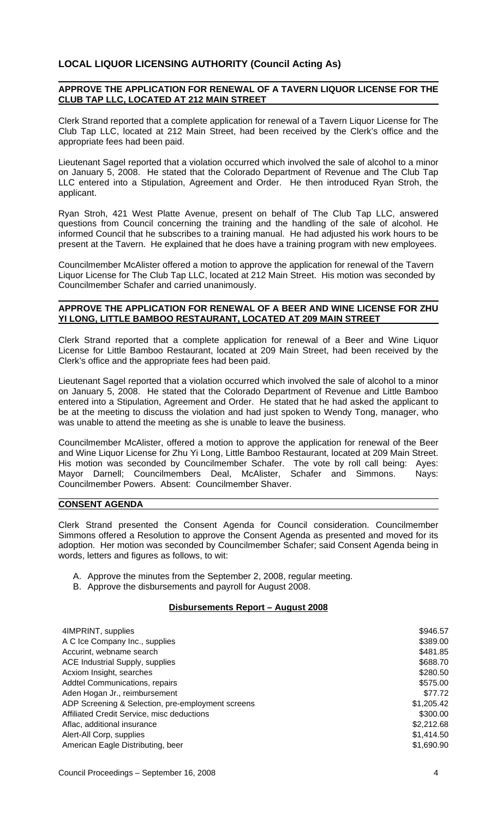# **LOCAL LIQUOR LICENSING AUTHORITY (Council Acting As)**

### **APPROVE THE APPLICATION FOR RENEWAL OF A TAVERN LIQUOR LICENSE FOR THE CLUB TAP LLC, LOCATED AT 212 MAIN STREET**

Clerk Strand reported that a complete application for renewal of a Tavern Liquor License for The Club Tap LLC, located at 212 Main Street, had been received by the Clerk's office and the appropriate fees had been paid.

Lieutenant Sagel reported that a violation occurred which involved the sale of alcohol to a minor on January 5, 2008. He stated that the Colorado Department of Revenue and The Club Tap LLC entered into a Stipulation, Agreement and Order. He then introduced Ryan Stroh, the applicant.

Ryan Stroh, 421 West Platte Avenue, present on behalf of The Club Tap LLC, answered questions from Council concerning the training and the handling of the sale of alcohol. He informed Council that he subscribes to a training manual. He had adjusted his work hours to be present at the Tavern. He explained that he does have a training program with new employees.

Councilmember McAlister offered a motion to approve the application for renewal of the Tavern Liquor License for The Club Tap LLC, located at 212 Main Street. His motion was seconded by Councilmember Schafer and carried unanimously.

### **APPROVE THE APPLICATION FOR RENEWAL OF A BEER AND WINE LICENSE FOR ZHU YI LONG, LITTLE BAMBOO RESTAURANT, LOCATED AT 209 MAIN STREET**

Clerk Strand reported that a complete application for renewal of a Beer and Wine Liquor License for Little Bamboo Restaurant, located at 209 Main Street, had been received by the Clerk's office and the appropriate fees had been paid.

Lieutenant Sagel reported that a violation occurred which involved the sale of alcohol to a minor on January 5, 2008. He stated that the Colorado Department of Revenue and Little Bamboo entered into a Stipulation, Agreement and Order. He stated that he had asked the applicant to be at the meeting to discuss the violation and had just spoken to Wendy Tong, manager, who was unable to attend the meeting as she is unable to leave the business.

Councilmember McAlister, offered a motion to approve the application for renewal of the Beer and Wine Liquor License for Zhu Yi Long, Little Bamboo Restaurant, located at 209 Main Street. His motion was seconded by Councilmember Schafer. The vote by roll call being: Ayes: Mayor Darnell; Councilmembers Deal, McAlister, Schafer and Simmons. Nays: Councilmember Powers. Absent: Councilmember Shaver.

#### **CONSENT AGENDA**

Clerk Strand presented the Consent Agenda for Council consideration. Councilmember Simmons offered a Resolution to approve the Consent Agenda as presented and moved for its adoption. Her motion was seconded by Councilmember Schafer; said Consent Agenda being in words, letters and figures as follows, to wit:

- A. Approve the minutes from the September 2, 2008, regular meeting.
- B. Approve the disbursements and payroll for August 2008.

#### **Disbursements Report – August 2008**

| 4IMPRINT, supplies                                | \$946.57   |
|---------------------------------------------------|------------|
| A C Ice Company Inc., supplies                    | \$389.00   |
| Accurint, webname search                          | \$481.85   |
| <b>ACE Industrial Supply, supplies</b>            | \$688.70   |
| Acxiom Insight, searches                          | \$280.50   |
| <b>Addtel Communications, repairs</b>             | \$575.00   |
| Aden Hogan Jr., reimbursement                     | \$77.72    |
| ADP Screening & Selection, pre-employment screens | \$1,205.42 |
| Affiliated Credit Service, misc deductions        | \$300.00   |
| Aflac, additional insurance                       | \$2,212.68 |
| Alert-All Corp, supplies                          | \$1,414.50 |
| American Eagle Distributing, beer                 | \$1,690.90 |
|                                                   |            |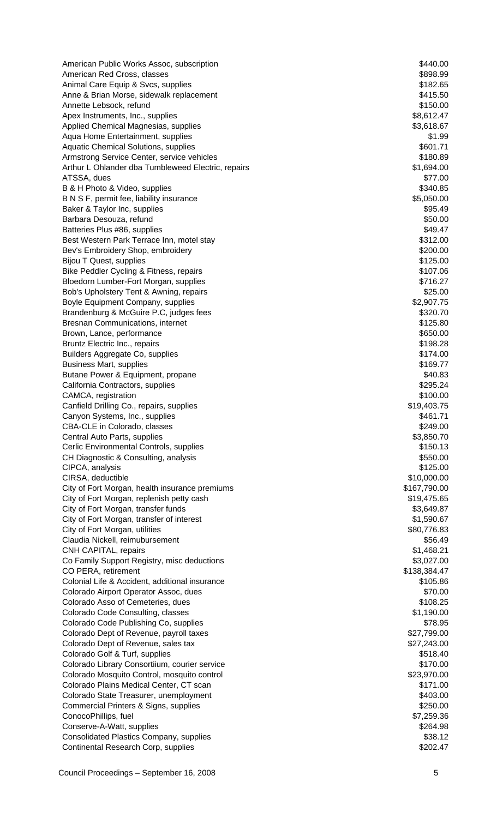American Public Works Assoc, subscription **\$440.00** \$440.00 American Red Cross, classes  $$898.99$ Animal Care Equip & Svcs, supplies  $$182.65$ Anne & Brian Morse, sidewalk replacement  $$415.50$ Annette Lebsock, refund  $$150.00$ Apex Instruments, Inc., supplies  $$8,612.47$ Applied Chemical Magnesias, supplies  $$3,618.67$ Aqua Home Entertainment, supplies \$1.99 Aquatic Chemical Solutions, supplies  $$601.71$ Armstrong Service Center, service vehicles  $$180.89$ Arthur L Ohlander dba Tumbleweed Electric, repairs **1.694.00** \$1,694.00 ATSSA, dues  $$77.00$ B & H Photo & Video, supplies  $$340.85$ B N S F, permit fee, liability insurance  $$5,050.00$ Baker & Taylor Inc, supplies  $$95.49$ Barbara Desouza, refund \$50.00 Batteries Plus #86, supplies  $\overline{a}$  supplies  $\overline{a}$  supplies  $\overline{a}$  supplies  $\overline{a}$  supplies  $\overline{a}$  supplies  $\overline{a}$ Best Western Park Terrace Inn, motel stay  $$312.00$ Bev's Embroidery Shop, embroidery **\$200.00** and \$200.00 and \$200.00 and \$200.00 and \$200.00 and \$200.00 and \$200.00 and \$200.00 and \$200.00 and \$200.00 and \$200.00 and \$200.00 and \$200.00 and \$200.00 and \$200.00 and \$200.0 Bijou T Quest, supplies  $$125.00$ Bike Peddler Cycling & Fitness, repairs \$107.06 Bloedorn Lumber-Fort Morgan, supplies  $$716.27$ Bob's Upholstery Tent & Awning, repairs  $$25.00$ Boyle Equipment Company, supplies  $$2,907.75$ Brandenburg & McGuire P.C, judges fees \$320.70 Bresnan Communications, internet \$125.80 Brown, Lance, performance  $$650.00$ Bruntz Electric Inc., repairs  $$198.28$ Builders Aggregate Co, supplies  $$174.00$ Business Mart, supplies **\$169.77 \$169.77** Butane Power & Equipment, propane  $$40.83$ California Contractors, supplies  $$295.24$ CAMCA, registration  $$100.00$ Canfield Drilling Co., repairs, supplies  $$19,403.75$ Canyon Systems, Inc., supplies  $$461.71$ CBA-CLE in Colorado, classes  $$249.00$ Central Auto Parts, supplies  $$3,850.70$ Cerlic Environmental Controls, supplies **\$150.13** (Serlic Environmental Controls, supplies  $\frac{1}{2}$ CH Diagnostic & Consulting, analysis  $\frac{1}{2}$  and  $\frac{1}{2}$  and  $\frac{1}{2}$  and  $\frac{1}{2}$  and  $\frac{1}{2}$  and  $\frac{1}{2}$  and  $\frac{1}{2}$  and  $\frac{1}{2}$  and  $\frac{1}{2}$  and  $\frac{1}{2}$  and  $\frac{1}{2}$  and  $\frac{1}{2}$  and  $\frac{1}{2}$  and  $\frac$ CIPCA, analysis \$125.00 CIRSA, deductible  $$10,000.00$ City of Fort Morgan, health insurance premiums \$167,790.00 City of Fort Morgan, replenish petty cash  $$19,475.65$ City of Fort Morgan, transfer funds \$3,649.87 City of Fort Morgan, transfer of interest  $$1,590.67$ City of Fort Morgan, utilities **\$80,776.83** Structure and the structure of the structure of the structure of the structure of the structure of the structure of the structure of the structure of the structure of the structu Claudia Nickell, reimubursement \$56.49 CNH CAPITAL, repairs  $$1,468.21$ Co Family Support Registry, misc deductions  $$3,027.00$ CO PERA, retirement \$138,384.47 Colonial Life & Accident, additional insurance \$105.86 Colorado Airport Operator Assoc, dues \$70.00 Colorado Asso of Cemeteries, dues \$108.25 Colorado Code Consulting, classes  $$1,190.00$ Colorado Code Publishing Co, supplies  $$78.95$ Colorado Dept of Revenue, payroll taxes  $$27,799.00$ Colorado Dept of Revenue, sales tax  $$27,243.00$ Colorado Golf & Turf, supplies \$518.40 Colorado Library Consortiium, courier service \$170.00 Colorado Mosquito Control, mosquito control \$23,970.00 Colorado Plains Medical Center, CT scan \$171.00 Colorado State Treasurer, unemployment  $$403.00$ Commercial Printers & Signs, supplies \$250.00 ConocoPhillips, fuel \$7,259.36 Conserve-A-Watt, supplies \$264.98 Consolidated Plastics Company, supplies \$38.12 Continental Research Corp, supplies  $$202.47$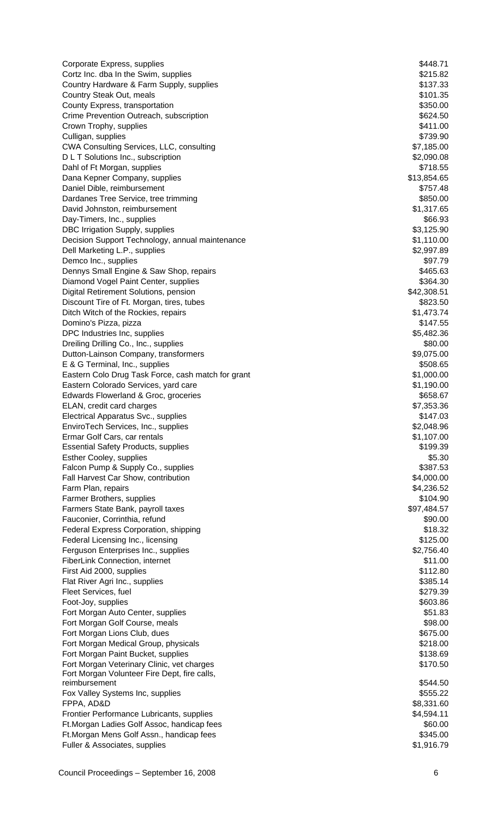| Corporate Express, supplies                                       | \$448.71               |
|-------------------------------------------------------------------|------------------------|
| Cortz Inc. dba In the Swim, supplies                              | \$215.82               |
| Country Hardware & Farm Supply, supplies                          | \$137.33               |
| Country Steak Out, meals                                          | \$101.35               |
| County Express, transportation                                    | \$350.00               |
| Crime Prevention Outreach, subscription                           | \$624.50               |
| Crown Trophy, supplies                                            | \$411.00               |
| Culligan, supplies                                                | \$739.90               |
| CWA Consulting Services, LLC, consulting                          | \$7,185.00             |
| D L T Solutions Inc., subscription<br>Dahl of Ft Morgan, supplies | \$2,090.08<br>\$718.55 |
| Dana Kepner Company, supplies                                     | \$13,854.65            |
| Daniel Dible, reimbursement                                       | \$757.48               |
| Dardanes Tree Service, tree trimming                              | \$850.00               |
| David Johnston, reimbursement                                     | \$1,317.65             |
| Day-Timers, Inc., supplies                                        | \$66.93                |
| DBC Irrigation Supply, supplies                                   | \$3,125.90             |
| Decision Support Technology, annual maintenance                   | \$1,110.00             |
| Dell Marketing L.P., supplies                                     | \$2,997.89             |
| Demco Inc., supplies                                              | \$97.79                |
| Dennys Small Engine & Saw Shop, repairs                           | \$465.63               |
| Diamond Vogel Paint Center, supplies                              | \$364.30               |
| Digital Retirement Solutions, pension                             | \$42,308.51            |
| Discount Tire of Ft. Morgan, tires, tubes                         | \$823.50               |
| Ditch Witch of the Rockies, repairs                               | \$1,473.74             |
| Domino's Pizza, pizza                                             | \$147.55               |
| DPC Industries Inc, supplies                                      | \$5,482.36             |
| Dreiling Drilling Co., Inc., supplies                             | \$80.00                |
| Dutton-Lainson Company, transformers                              | \$9,075.00             |
| E & G Terminal, Inc., supplies                                    | \$508.65               |
| Eastern Colo Drug Task Force, cash match for grant                | \$1,000.00             |
| Eastern Colorado Services, yard care                              | \$1,190.00             |
| Edwards Flowerland & Groc, groceries                              | \$658.67               |
| ELAN, credit card charges                                         | \$7,353.36             |
| Electrical Apparatus Svc., supplies                               | \$147.03               |
| EnviroTech Services, Inc., supplies                               | \$2,048.96             |
| Ermar Golf Cars, car rentals                                      | \$1,107.00             |
| <b>Essential Safety Products, supplies</b>                        | \$199.39               |
| <b>Esther Cooley, supplies</b>                                    | \$5.30                 |
| Falcon Pump & Supply Co., supplies                                | \$387.53               |
| Fall Harvest Car Show, contribution                               | \$4,000.00             |
| Farm Plan, repairs                                                | \$4,236.52             |
| Farmer Brothers, supplies                                         | \$104.90               |
| Farmers State Bank, payroll taxes                                 | \$97,484.57            |
| Fauconier, Corrinthia, refund                                     | \$90.00                |
| Federal Express Corporation, shipping                             | \$18.32                |
| Federal Licensing Inc., licensing                                 | \$125.00               |
| Ferguson Enterprises Inc., supplies                               | \$2,756.40<br>\$11.00  |
| FiberLink Connection, internet<br>First Aid 2000, supplies        | \$112.80               |
| Flat River Agri Inc., supplies                                    | \$385.14               |
| Fleet Services, fuel                                              | \$279.39               |
| Foot-Joy, supplies                                                | \$603.86               |
| Fort Morgan Auto Center, supplies                                 | \$51.83                |
| Fort Morgan Golf Course, meals                                    | \$98.00                |
| Fort Morgan Lions Club, dues                                      | \$675.00               |
| Fort Morgan Medical Group, physicals                              | \$218.00               |
| Fort Morgan Paint Bucket, supplies                                | \$138.69               |
| Fort Morgan Veterinary Clinic, vet charges                        | \$170.50               |
| Fort Morgan Volunteer Fire Dept, fire calls,                      |                        |
| reimbursement                                                     | \$544.50               |
| Fox Valley Systems Inc, supplies                                  | \$555.22               |
| FPPA, AD&D                                                        | \$8,331.60             |
| Frontier Performance Lubricants, supplies                         | \$4,594.11             |
| Ft. Morgan Ladies Golf Assoc, handicap fees                       | \$60.00                |
| Ft. Morgan Mens Golf Assn., handicap fees                         | \$345.00               |
| Fuller & Associates, supplies                                     | \$1,916.79             |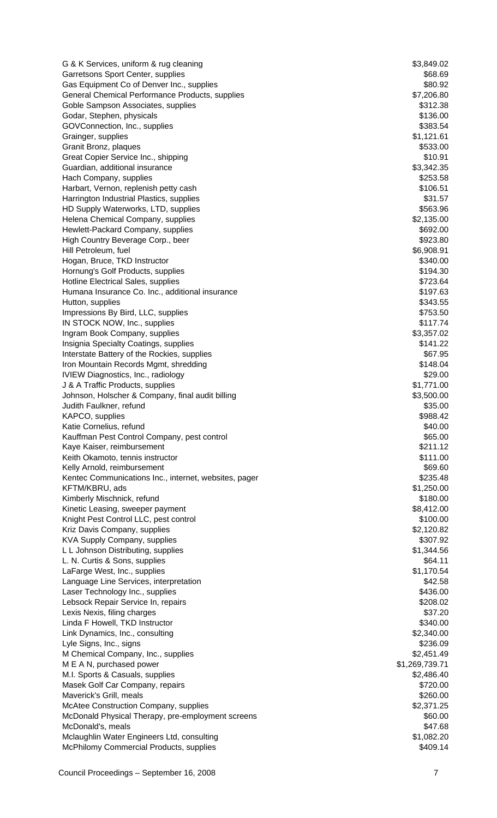G & K Services, uniform & rug cleaning  $$3,849.02$ Garretsons Sport Center, supplies  $$68.69$ Gas Equipment Co of Denver Inc., supplies  $$80.92$ General Chemical Performance Products, supplies  $$7,206.80$ Goble Sampson Associates, supplies  $$312.38$ Godar, Stephen, physicals  $$136.00$ GOVConnection, Inc., supplies  $$383.54$ Grainger, supplies \$1,121.61 Granit Bronz, plaques  $$533.00$ Great Copier Service Inc., shipping  $$10.91$ Guardian, additional insurance \$3,342.35 Hach Company, supplies  $$253.58$ Harbart, Vernon, replenish petty cash  $$106.51$ Harrington Industrial Plastics, supplies **\$31.57** and the state of the state  $$31.57$ HD Supply Waterworks, LTD, supplies  $$563.96$ Helena Chemical Company, supplies  $$2,135.00$ Hewlett-Packard Company, supplies  $$692.00$ High Country Beverage Corp., beer \$923.80 Hill Petroleum, fuel **\$6,908.91** and \$6,908.91 Hogan, Bruce, TKD Instructor  $$340.00$ Hornung's Golf Products, supplies \$194.30 Hotline Electrical Sales, supplies  $$723.64$ Humana Insurance Co. Inc., additional insurance  $$197.63$ Hutton, supplies  $$343.55$ Impressions By Bird, LLC, supplies  $$753.50$ IN STOCK NOW, Inc., supplies  $$117.74$ Ingram Book Company, supplies  $$3,357.02$ Insignia Specialty Coatings, supplies  $$141.22$ Interstate Battery of the Rockies, supplies  $$67.95$ Iron Mountain Records Mgmt, shredding **\$148.04** \$148.04 IVIEW Diagnostics, Inc., radiology **\$29.00 \$29.00 \$29.00** J & A Traffic Products, supplies  $$1,771.00$ Johnson, Holscher & Company, final audit billing  $$3,500.00$ Judith Faulkner, refund \$35.00 KAPCO, supplies  $$988.42$ Katie Cornelius, refund  $$40.00$ Kauffman Pest Control Company, pest control  $\sim$  \$65.00 Kaye Kaiser, reimbursement **\$211.12** S211.12 Keith Okamoto, tennis instructor  $$111.00$ Kelly Arnold, reimbursement **\$69.60** Network and the set of the set of the set of the set of the set of the set of the set of the set of the set of the set of the set of the set of the set of the set of the set of the set Kentec Communications Inc., internet, websites, pager \$235.48 KFTM/KBRU, ads \$1,250.00 Kimberly Mischnick, refund  $$180.00$ Kinetic Leasing, sweeper payment  $$8,412.00$ Knight Pest Control LLC, pest control  $\blacktriangleright$ Kriz Davis Company, supplies  $$2,120.82$ KVA Supply Company, supplies  $$307.92$ L L Johnson Distributing, supplies  $$1,344.56$ L. N. Curtis & Sons, supplies \$64.11<br>
LaFarqe West, Inc., supplies \$1,170.54 LaFarge West, Inc., supplies Language Line Services, interpretation  $$42.58$ Laser Technology Inc., supplies \$436.00 Lebsock Repair Service In, repairs  $$208.02$ Lexis Nexis, filing charges  $\sim$  37.20 Linda F Howell, TKD Instructor  $$340.00$ Link Dynamics, Inc., consulting  $$2,340.00$ Lyle Signs, Inc., signs  $$236.09$ M Chemical Company, Inc., supplies  $$2,451.49$ M E A N, purchased power  $$1,269,739.71$ M.I. Sports & Casuals, supplies  $$2,486.40$ Masek Golf Car Company, repairs  $$720.00$ Maverick's Grill, meals \$260.00 McAtee Construction Company, supplies  $$2,371.25$ McDonald Physical Therapy, pre-employment screens  $$60.00$ McDonald's, meals  $$47.68$ Mclaughlin Water Engineers Ltd, consulting  $$1,082.20$ McPhilomy Commercial Products, supplies  $$409.14$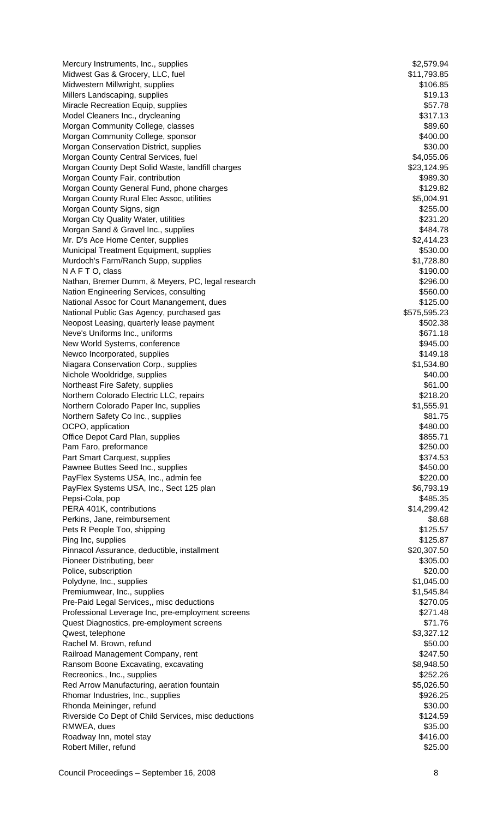Mercury Instruments, Inc., supplies  $$2,579.94$ Midwest Gas & Grocery, LLC, fuel \$11,793.85 Midwestern Millwright, supplies  $$106.85$ Millers Landscaping, supplies  $$19.13$ Miracle Recreation Equip, supplies  $$57.78$ Model Cleaners Inc., drycleaning  $$317.13$ Morgan Community College, classes **\$89.60** and the state of the state of the state of the state of the state of the state of the state of the state of the state of the state of the state of the state of the state of the st Morgan Community College, sponsor  $$400.00$ Morgan Conservation District, supplies  $$30.00$ Morgan County Central Services, fuel **\$4,055.06**  $$4,055.06$ Morgan County Dept Solid Waste, landfill charges  $$23,124.95$ Morgan County Fair, contribution **\$989.30** and the state of the state of the state of the state of the state of the state of the state of the state of the state of the state of the state of the state of the state of the st Morgan County General Fund, phone charges  $$129.82$ Morgan County Rural Elec Assoc, utilities  $$5,004.91$ Morgan County Signs, sign  $$255.00$ Morgan Cty Quality Water, utilities **\$231.20** \$231.20 Morgan Sand & Gravel Inc., supplies  $$484.78$ Mr. D's Ace Home Center, supplies  $$2,414.23$ Municipal Treatment Equipment, supplies \$530.00 Murdoch's Farm/Ranch Supp, supplies  $$1,728.80$ N A F T O, class \$190.00 Nathan, Bremer Dumm, & Meyers, PC, legal research \$296.00 Nation Engineering Services, consulting  $$560.00$ National Assoc for Court Manangement, dues \$125.00 National Public Gas Agency, purchased gas  $$575,595.23$ Neopost Leasing, quarterly lease payment  $$502.38$ Neve's Uniforms Inc., uniforms  $\frac{1}{8671.18}$ New World Systems, conference  $$945.00$ Newco Incorporated, supplies  $$149.18$ Niagara Conservation Corp., supplies  $$1,534.80$ Nichole Wooldridge, supplies  $$40.00$ Northeast Fire Safety, supplies  $\$61.00$ Northern Colorado Electric LLC, repairs  $$218.20$ Northern Colorado Paper Inc, supplies  $$1,555.91$ Northern Safety Co Inc., supplies  $$81.75$ OCPO, application  $$480.00$ Office Depot Card Plan, supplies **\$855.71** (1)  $\frac{1}{2}$  (1)  $\frac{1}{2}$  (1)  $\frac{1}{2}$  (1)  $\frac{1}{2}$  (1)  $\frac{1}{2}$  (1)  $\frac{1}{2}$  (1)  $\frac{1}{2}$  (1)  $\frac{1}{2}$  (1)  $\frac{1}{2}$  (1)  $\frac{1}{2}$  (1)  $\frac{1}{2}$  (1)  $\frac{1}{2}$  (1)  $\frac{1}{2$ Pam Faro, preformance  $$250.00$ Part Smart Carquest, supplies  $$374.53$ Pawnee Buttes Seed Inc., supplies  $$450.00$ PayFlex Systems USA, Inc., admin fee  $$220.00$ PayFlex Systems USA, Inc., Sect 125 plan  $\blacksquare$ Pepsi-Cola, pop \$485.35 PERA 401K, contributions \$14,299.42 Perkins, Jane, reimbursement  $$8.68$ Pets R People Too, shipping  $$125.57$ Ping Inc, supplies  $$125.87$ Pinnacol Assurance, deductible, installment \$20,307.50 Pioneer Distributing, beer \$305.00 Police, subscription  $$20.00$ Polydyne, Inc., supplies  $$1,045.00$ Premiumwear, Inc., supplies  $$1,545.84$ Pre-Paid Legal Services,, misc deductions  $$270.05$ Professional Leverage Inc, pre-employment screens \$271.48 Quest Diagnostics, pre-employment screens  $$71.76$ Qwest, telephone  $$3,327.12$ Rachel M. Brown, refund \$50.00 Railroad Management Company, rent \$247.50 Ransom Boone Excavating, excavating  $$8,948.50$ Recreonics., Inc., supplies  $$252.26$ Red Arrow Manufacturing, aeration fountain  $$5,026.50$ Rhomar Industries, Inc., supplies  $$926.25$ Rhonda Meininger, refund \$30.00 Riverside Co Dept of Child Services, misc deductions **\$124.59** \$124.59 RMWEA, dues \$35.00 Roadway Inn, motel stay \$416.00 Robert Miller, refund \$25.00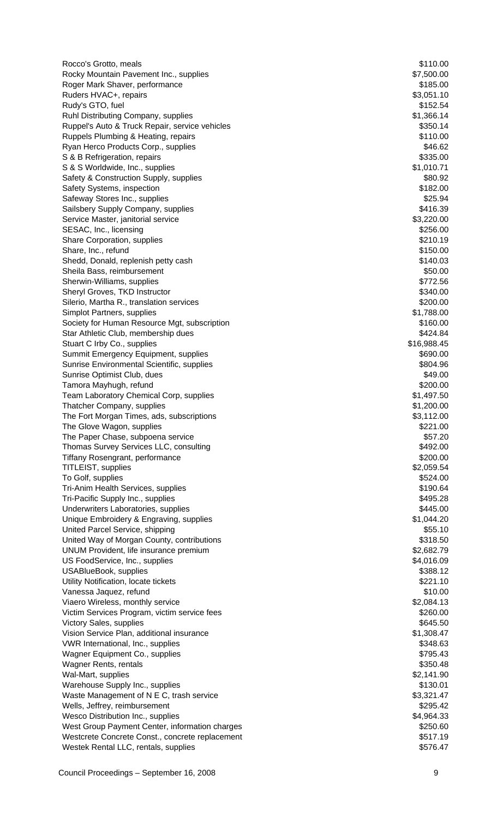Rocco's Grotto, meals **\$110.00 State of the Control** Control of the Control Control Control Control Control Control Control Control Control Control Control Control Control Control Control Control Control Control Control Rocky Mountain Pavement Inc., supplies  $$7,500.00$ Roger Mark Shaver, performance  $$185.00$ Ruders HVAC+, repairs  $$3,051.10$ Rudy's GTO, fuel \$152.54 Ruhl Distributing Company, supplies  $$1,366.14$ Ruppel's Auto & Truck Repair, service vehicles  $$350.14$ Ruppels Plumbing & Heating, repairs \$110.00 Ryan Herco Products Corp., supplies  $$46.62$ S & B Refrigeration, repairs  $$335.00$ S & S Worldwide, Inc., supplies  $$1,010.71$ Safety & Construction Supply, supplies  $$80.92$ Safety Systems, inspection  $$182.00$ Safeway Stores Inc., supplies  $$25.94$ Sailsbery Supply Company, supplies  $$416.39$ Service Master, janitorial service **\$3,220.00** \$3,220.00 SESAC, Inc., licensing  $$256.00$ Share Corporation, supplies  $$210.19$ Share, Inc., refund \$150.00 Shedd, Donald, replenish petty cash  $$140.03$ Sheila Bass, reimbursement  $$50.00$ Sherwin-Williams, supplies  $$772.56$ Sheryl Groves, TKD Instructor  $$340.00$ Silerio, Martha R., translation services \$200.00 Simplot Partners, supplies  $$1,788.00$ Society for Human Resource Mgt, subscription  $$160.00$ Star Athletic Club, membership dues \$424.84 Stuart C Irby Co., supplies  $$16,988.45$ Summit Emergency Equipment, supplies  $$690.00$ Sunrise Environmental Scientific, supplies  $$804.96$ Sunrise Optimist Club, dues \$49.00 Tamora Mayhugh, refund \$200.00 Team Laboratory Chemical Corp, supplies  $$1,497.50$ Thatcher Company, supplies  $$1,200.00$ The Fort Morgan Times, ads, subscriptions  $$3,112.00$ The Glove Wagon, supplies  $$221.00$ The Paper Chase, subpoena service  $$57.20$ Thomas Survey Services LLC, consulting  $$492.00$ Tiffany Rosengrant, performance \$200.00 TITLEIST, supplies \$2,059.54 To Golf, supplies  $$524.00$ Tri-Anim Health Services, supplies  $$190.64$ Tri-Pacific Supply Inc., supplies  $$495.28$ Underwriters Laboratories, supplies  $$445.00$ Unique Embroidery & Engraving, supplies  $$1,044.20$ United Parcel Service, shipping  $$55.10$ United Way of Morgan County, contributions  $$318.50$ UNUM Provident, life insurance premium  $$2,682.79$ US FoodService, Inc., supplies  $$4,016.09$ USABlueBook, supplies \$388.12 Utility Notification, locate tickets **\$221.10** and the state of the state of the state of the state of the state of the state of the state of the state of the state of the state of the state of the state of the state of th Vanessa Jaquez, refund \$10.00 Viaero Wireless, monthly service **by a struck of the COVID-12-Viaero COVID-12-Viaero (Viaero S2,084.13** Victim Services Program, victim service fees \$260.00 Victory Sales, supplies  $\frac{1}{100}$  S645.50 Vision Service Plan, additional insurance **\$1,308.47** VWR International, Inc., supplies  $$348.63$ Wagner Equipment Co., supplies  $$795.43$ Wagner Rents, rentals **\$350.48** S350.48 Wal-Mart, supplies  $$2,141.90$ Warehouse Supply Inc., supplies  $$130.01$ Waste Management of N E C, trash service **\$3,321.47** \$3,321.47 Wells, Jeffrey, reimbursement  $$295.42$ Wesco Distribution Inc., supplies  $$4,964.33$ West Group Payment Center, information charges  $$250.60$ Westcrete Concrete Const., concrete replacement  $$517.19$ Westek Rental LLC, rentals, supplies  $$576.47$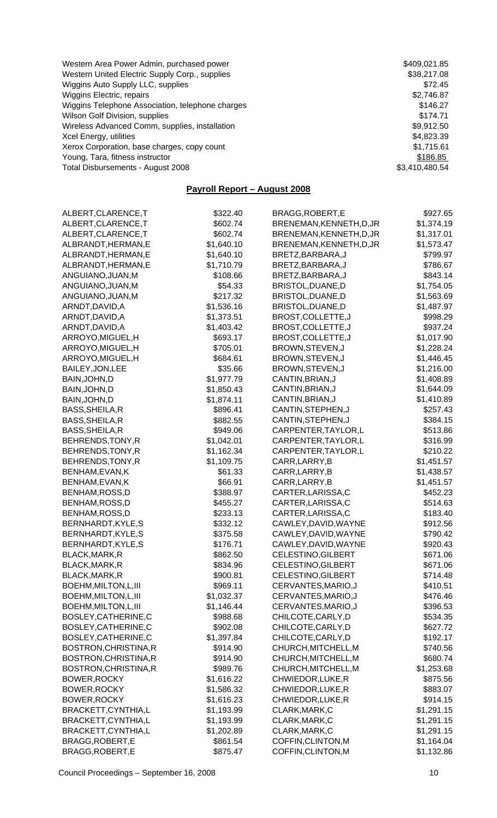| Western Area Power Admin, purchased power        | \$409,021.85   |
|--------------------------------------------------|----------------|
| Western United Electric Supply Corp., supplies   | \$38,217.08    |
| Wiggins Auto Supply LLC, supplies                | \$72.45        |
| Wiggins Electric, repairs                        | \$2,746.87     |
| Wiggins Telephone Association, telephone charges | \$146.27       |
| Wilson Golf Division, supplies                   | \$174.71       |
| Wireless Advanced Comm, supplies, installation   | \$9,912.50     |
| Xcel Energy, utilities                           | \$4,823.39     |
| Xerox Corporation, base charges, copy count      | \$1,715.61     |
| Young, Tara, fitness instructor                  | \$186.85       |
| Total Disbursements - August 2008                | \$3,410,480.54 |

# **Payroll Report – August 2008**

| ALBERT, CLARENCE, T   | \$322.40   | BRAGG, ROBERT, E         | \$927.65   |
|-----------------------|------------|--------------------------|------------|
| ALBERT, CLARENCE, T   | \$602.74   | BRENEMAN, KENNETH, D, JR | \$1,374.19 |
| ALBERT, CLARENCE, T   | \$602.74   | BRENEMAN, KENNETH, D, JR | \$1,317.01 |
| ALBRANDT, HERMAN, E   | \$1,640.10 | BRENEMAN, KENNETH, D, JR | \$1,573.47 |
| ALBRANDT, HERMAN, E   | \$1,640.10 | BRETZ, BARBARA, J        | \$799.97   |
| ALBRANDT, HERMAN, E   | \$1,710.79 | BRETZ, BARBARA, J        | \$786.67   |
| ANGUIANO, JUAN, M     | \$108.66   | BRETZ, BARBARA, J        | \$843.14   |
| ANGUIANO, JUAN, M     | \$54.33    | BRISTOL, DUANE, D        | \$1,754.05 |
| ANGUIANO, JUAN, M     | \$217.32   | BRISTOL, DUANE, D        | \$1,563.69 |
| ARNDT, DAVID, A       | \$1,536.16 | BRISTOL, DUANE, D        | \$1,487.97 |
| ARNDT, DAVID, A       | \$1,373.51 | BROST, COLLETTE, J       | \$998.29   |
| ARNDT, DAVID, A       | \$1,403.42 | BROST, COLLETTE, J       | \$937.24   |
| ARROYO, MIGUEL, H     | \$693.17   | BROST, COLLETTE, J       | \$1,017.90 |
| ARROYO, MIGUEL, H     | \$705.01   | BROWN, STEVEN, J         | \$1,228.24 |
| ARROYO, MIGUEL, H     | \$684.61   | BROWN, STEVEN, J         | \$1,446.45 |
| BAILEY, JON, LEE      | \$35.66    | BROWN, STEVEN, J         | \$1,216.00 |
| BAIN, JOHN, D         | \$1,977.79 | CANTIN, BRIAN, J         | \$1,408.89 |
| BAIN, JOHN, D         | \$1,850.43 | CANTIN, BRIAN, J         | \$1,644.09 |
| BAIN, JOHN, D         | \$1,874.11 | CANTIN, BRIAN, J         | \$1,410.89 |
| BASS, SHEILA, R       | \$896.41   | CANTIN, STEPHEN, J       | \$257.43   |
| BASS, SHEILA, R       | \$882.55   | CANTIN, STEPHEN, J       | \$384.15   |
| BASS, SHEILA, R       | \$949.06   | CARPENTER, TAYLOR, L     | \$513.86   |
| BEHRENDS, TONY, R     | \$1,042.01 | CARPENTER, TAYLOR, L     | \$316.99   |
| BEHRENDS, TONY, R     | \$1,162.34 | CARPENTER, TAYLOR, L     | \$210.22   |
| BEHRENDS, TONY, R     | \$1,109.75 | CARR, LARRY, B           | \$1,451.57 |
| BENHAM, EVAN, K       | \$61.33    | CARR, LARRY, B           | \$1,438.57 |
| BENHAM, EVAN, K       | \$66.91    | CARR, LARRY, B           | \$1,451.57 |
| BENHAM, ROSS, D       | \$388.97   | CARTER, LARISSA, C       | \$452.23   |
| BENHAM, ROSS, D       | \$455.27   | CARTER, LARISSA, C       | \$514.63   |
| BENHAM, ROSS, D       | \$233.13   | CARTER, LARISSA, C       | \$183.40   |
| BERNHARDT, KYLE, S    | \$332.12   | CAWLEY, DAVID, WAYNE     | \$912.56   |
| BERNHARDT, KYLE, S    | \$375.58   | CAWLEY, DAVID, WAYNE     | \$790.42   |
| BERNHARDT, KYLE, S    | \$176.71   | CAWLEY, DAVID, WAYNE     | \$920.43   |
| BLACK, MARK, R        | \$862.50   | CELESTINO, GILBERT       | \$671.06   |
|                       | \$834.96   | CELESTINO, GILBERT       | \$671.06   |
| BLACK, MARK, R        |            |                          |            |
| BLACK, MARK, R        | \$900.81   | CELESTINO, GILBERT       | \$714.48   |
| BOEHM, MILTON, L, III | \$969.11   | CERVANTES, MARIO, J      | \$410.51   |
| BOEHM, MILTON, L, III | \$1,032.37 | CERVANTES, MARIO, J      | \$476.46   |
| BOEHM, MILTON, L, III | \$1,146.44 | CERVANTES, MARIO, J      | \$396.53   |
| BOSLEY, CATHERINE, C  | \$988.68   | CHILCOTE, CARLY, D       | \$534.35   |
| BOSLEY, CATHERINE, C  | \$902.08   | CHILCOTE, CARLY, D       | \$627.72   |
| BOSLEY, CATHERINE, C  | \$1,397.84 | CHILCOTE, CARLY, D       | \$192.17   |
| BOSTRON, CHRISTINA, R | \$914.90   | CHURCH, MITCHELL, M      | \$740.56   |
| BOSTRON, CHRISTINA, R | \$914.90   | CHURCH, MITCHELL, M      | \$680.74   |
| BOSTRON, CHRISTINA, R | \$989.76   | CHURCH, MITCHELL, M      | \$1,253.68 |
| BOWER, ROCKY          | \$1,616.22 | CHWIEDOR, LUKE, R        | \$875.56   |
| BOWER, ROCKY          | \$1,586.32 | CHWIEDOR, LUKE, R        | \$883.07   |
| BOWER, ROCKY          | \$1,616.23 | CHWIEDOR, LUKE, R        | \$914.15   |
| BRACKETT, CYNTHIA, L  | \$1,193.99 | CLARK, MARK, C           | \$1,291.15 |
| BRACKETT, CYNTHIA, L  | \$1,193.99 | CLARK, MARK, C           | \$1,291.15 |
| BRACKETT, CYNTHIA, L  | \$1,202.89 | CLARK, MARK, C           | \$1,291.15 |
| BRAGG, ROBERT, E      | \$861.54   | COFFIN, CLINTON, M       | \$1,164.04 |
| BRAGG, ROBERT, E      | \$875.47   | COFFIN, CLINTON, M       | \$1,132.86 |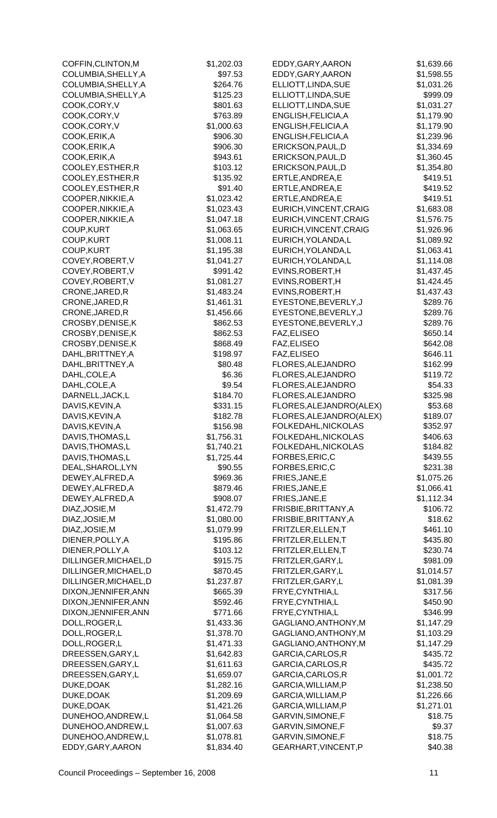| COFFIN, CLINTON, M       | \$1,202.03               | EDDY, GARY, AARON                      | \$1,639.66               |
|--------------------------|--------------------------|----------------------------------------|--------------------------|
| COLUMBIA, SHELLY, A      | \$97.53                  | EDDY, GARY, AARON                      | \$1,598.55               |
| COLUMBIA, SHELLY, A      | \$264.76                 | ELLIOTT, LINDA, SUE                    | \$1,031.26               |
| COLUMBIA, SHELLY, A      | \$125.23                 | ELLIOTT, LINDA, SUE                    | \$999.09                 |
| COOK,CORY, V             | \$801.63                 | ELLIOTT, LINDA, SUE                    | \$1,031.27               |
| COOK,CORY,V              | \$763.89                 | ENGLISH, FELICIA, A                    | \$1,179.90               |
| COOK,CORY,V              | \$1,000.63               | ENGLISH, FELICIA, A                    | \$1,179.90               |
| COOK, ERIK, A            | \$906.30                 | ENGLISH, FELICIA, A                    | \$1,239.96               |
| COOK, ERIK, A            | \$906.30                 | ERICKSON, PAUL, D                      | \$1,334.69               |
| COOK, ERIK, A            | \$943.61                 | ERICKSON, PAUL, D                      | \$1,360.45               |
| COOLEY, ESTHER, R        | \$103.12                 | ERICKSON, PAUL, D                      | \$1,354.80               |
| COOLEY, ESTHER, R        | \$135.92                 | ERTLE, ANDREA, E                       | \$419.51                 |
| COOLEY, ESTHER, R        | \$91.40                  | ERTLE, ANDREA, E                       | \$419.52                 |
| COOPER, NIKKIE, A        | \$1,023.42               | ERTLE, ANDREA, E                       | \$419.51                 |
| COOPER, NIKKIE, A        | \$1,023.43               | EURICH, VINCENT, CRAIG                 | \$1,683.08               |
| COOPER, NIKKIE, A        | \$1,047.18               | EURICH, VINCENT, CRAIG                 | \$1,576.75               |
| COUP, KURT               | \$1,063.65               | EURICH, VINCENT, CRAIG                 | \$1,926.96               |
| COUP, KURT               | \$1,008.11               | EURICH, YOLANDA, L                     | \$1,089.92               |
| COUP, KURT               | \$1,195.38               | EURICH, YOLANDA, L                     | \$1,063.41               |
| COVEY, ROBERT, V         | \$1,041.27               | EURICH, YOLANDA, L                     | \$1,114.08               |
| COVEY, ROBERT, V         | \$991.42                 | EVINS, ROBERT, H                       | \$1,437.45               |
| COVEY, ROBERT, V         | \$1,081.27               | EVINS, ROBERT, H                       | \$1,424.45               |
| CRONE, JARED, R          | \$1,483.24               | EVINS, ROBERT, H                       | \$1,437.43               |
| CRONE, JARED, R          | \$1,461.31               | EYESTONE, BEVERLY, J                   | \$289.76                 |
| CRONE, JARED, R          | \$1,456.66               | EYESTONE, BEVERLY, J                   | \$289.76                 |
| CROSBY, DENISE, K        | \$862.53                 | EYESTONE, BEVERLY, J                   | \$289.76                 |
| CROSBY, DENISE, K        | \$862.53                 | FAZ, ELISEO                            | \$650.14                 |
| CROSBY, DENISE, K        | \$868.49                 | FAZ, ELISEO                            | \$642.08                 |
| DAHL, BRITTNEY, A        | \$198.97                 | FAZ, ELISEO                            | \$646.11                 |
| DAHL, BRITTNEY, A        | \$80.48                  | FLORES, ALEJANDRO                      | \$162.99                 |
| DAHL, COLE, A            | \$6.36                   | FLORES, ALEJANDRO                      | \$119.72                 |
| DAHL, COLE, A            | \$9.54                   | FLORES, ALEJANDRO                      | \$54.33                  |
| DARNELL, JACK, L         | \$184.70                 | FLORES, ALEJANDRO                      | \$325.98                 |
| DAVIS, KEVIN, A          | \$331.15                 | FLORES, ALEJANDRO(ALEX)                | \$53.68                  |
| DAVIS, KEVIN, A          | \$182.78                 | FLORES, ALEJANDRO(ALEX)                | \$189.07                 |
| DAVIS, KEVIN, A          | \$156.98                 | FOLKEDAHL, NICKOLAS                    | \$352.97                 |
| DAVIS, THOMAS, L         | \$1,756.31               | FOLKEDAHL, NICKOLAS                    | \$406.63                 |
| DAVIS, THOMAS, L         | \$1,740.21               | FOLKEDAHL, NICKOLAS                    | \$184.82                 |
| DAVIS, THOMAS, L         | \$1,725.44               | FORBES, ERIC, C                        | \$439.55                 |
| DEAL, SHAROL, LYN        | \$90.55                  | FORBES, ERIC, C                        | \$231.38                 |
| DEWEY, ALFRED, A         | \$969.36                 | FRIES, JANE, E                         | \$1,075.26               |
| DEWEY, ALFRED, A         | \$879.46                 | FRIES, JANE, E                         | \$1,066.41               |
| DEWEY, ALFRED, A         | \$908.07                 | FRIES, JANE, E                         | \$1,112.34               |
| DIAZ, JOSIE, M           | \$1,472.79               | FRISBIE, BRITTANY, A                   | \$106.72                 |
| DIAZ, JOSIE, M           | \$1,080.00               | FRISBIE, BRITTANY, A                   | \$18.62                  |
| DIAZ, JOSIE, M           | \$1,079.99               | FRITZLER, ELLEN, T                     | \$461.10                 |
| DIENER, POLLY, A         | \$195.86                 | FRITZLER, ELLEN, T                     | \$435.80                 |
| DIENER, POLLY, A         | \$103.12                 | FRITZLER, ELLEN, T                     | \$230.74                 |
| DILLINGER, MICHAEL, D    | \$915.75                 | FRITZLER, GARY, L                      | \$981.09                 |
| DILLINGER, MICHAEL, D    | \$870.45                 | FRITZLER, GARY, L                      | \$1,014.57               |
| DILLINGER, MICHAEL, D    | \$1,237.87               | FRITZLER, GARY, L                      | \$1,081.39               |
| DIXON, JENNIFER, ANN     | \$665.39                 | FRYE, CYNTHIA, L                       | \$317.56                 |
| DIXON, JENNIFER, ANN     | \$592.46                 | FRYE, CYNTHIA, L                       | \$450.90                 |
| DIXON, JENNIFER, ANN     | \$771.66                 | FRYE, CYNTHIA, L                       | \$346.99                 |
| DOLL, ROGER, L           | \$1,433.36               | GAGLIANO, ANTHONY, M                   | \$1,147.29               |
| DOLL, ROGER, L           | \$1,378.70               | GAGLIANO, ANTHONY, M                   | \$1,103.29               |
| DOLL, ROGER, L           | \$1,471.33               | GAGLIANO, ANTHONY, M                   | \$1,147.29               |
| DREESSEN, GARY, L        | \$1,642.83               | GARCIA, CARLOS, R<br>GARCIA, CARLOS, R | \$435.72                 |
| DREESSEN, GARY, L        | \$1,611.63               | GARCIA, CARLOS, R                      | \$435.72                 |
| DREESSEN, GARY, L        | \$1,659.07<br>\$1,282.16 | GARCIA, WILLIAM, P                     | \$1,001.72<br>\$1,238.50 |
| DUKE, DOAK<br>DUKE, DOAK | \$1,209.69               | GARCIA, WILLIAM, P                     | \$1,226.66               |
| DUKE, DOAK               | \$1,421.26               | GARCIA, WILLIAM, P                     | \$1,271.01               |
| DUNEHOO, ANDREW, L       | \$1,064.58               | GARVIN, SIMONE, F                      | \$18.75                  |
| DUNEHOO, ANDREW, L       | \$1,007.63               | GARVIN, SIMONE, F                      | \$9.37                   |
| DUNEHOO, ANDREW, L       | \$1,078.81               | GARVIN, SIMONE, F                      | \$18.75                  |
| EDDY, GARY, AARON        | \$1,834.40               | GEARHART, VINCENT, P                   | \$40.38                  |
|                          |                          |                                        |                          |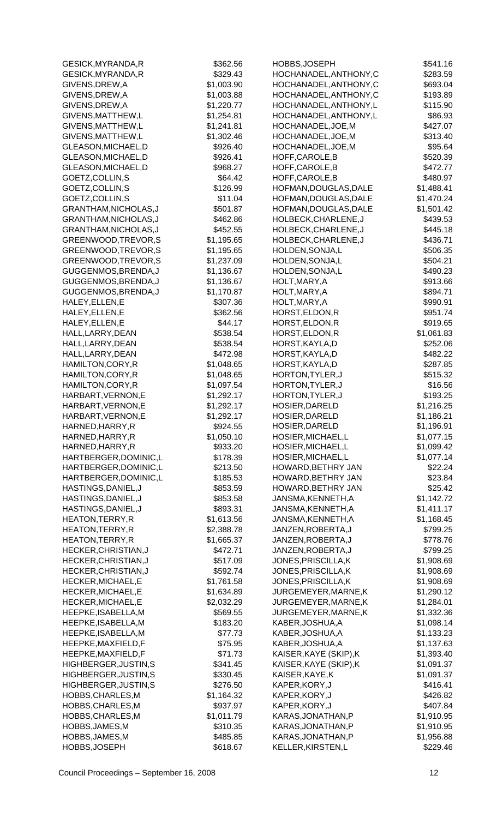| GESICK, MYRANDA, R      | \$362.56   | HOBBS, JOSEPH          | \$541.16   |
|-------------------------|------------|------------------------|------------|
| GESICK, MYRANDA, R      | \$329.43   | HOCHANADEL, ANTHONY, C | \$283.59   |
| GIVENS, DREW, A         | \$1,003.90 | HOCHANADEL, ANTHONY, C | \$693.04   |
| GIVENS, DREW, A         | \$1,003.88 | HOCHANADEL, ANTHONY, C | \$193.89   |
| GIVENS, DREW, A         | \$1,220.77 | HOCHANADEL, ANTHONY, L | \$115.90   |
| GIVENS, MATTHEW, L      | \$1,254.81 | HOCHANADEL, ANTHONY, L | \$86.93    |
| GIVENS, MATTHEW, L      | \$1,241.81 | HOCHANADEL, JOE, M     | \$427.07   |
| GIVENS, MATTHEW, L      | \$1,302.46 | HOCHANADEL, JOE, M     | \$313.40   |
| GLEASON, MICHAEL, D     | \$926.40   | HOCHANADEL, JOE, M     | \$95.64    |
| GLEASON, MICHAEL, D     | \$926.41   | HOFF, CAROLE, B        | \$520.39   |
| GLEASON, MICHAEL, D     | \$968.27   | HOFF, CAROLE, B        | \$472.77   |
| GOETZ, COLLIN, S        | \$64.42    | HOFF, CAROLE, B        | \$480.97   |
| GOETZ, COLLIN, S        | \$126.99   | HOFMAN, DOUGLAS, DALE  | \$1,488.41 |
| GOETZ, COLLIN, S        | \$11.04    | HOFMAN, DOUGLAS, DALE  | \$1,470.24 |
| GRANTHAM, NICHOLAS, J   | \$501.87   | HOFMAN, DOUGLAS, DALE  | \$1,501.42 |
| GRANTHAM, NICHOLAS, J   | \$462.86   | HOLBECK, CHARLENE, J   | \$439.53   |
| GRANTHAM, NICHOLAS, J   | \$452.55   | HOLBECK, CHARLENE, J   | \$445.18   |
| GREENWOOD, TREVOR, S    | \$1,195.65 | HOLBECK, CHARLENE, J   | \$436.71   |
| GREENWOOD, TREVOR, S    | \$1,195.65 | HOLDEN, SONJA, L       | \$506.35   |
| GREENWOOD, TREVOR, S    | \$1,237.09 | HOLDEN, SONJA, L       | \$504.21   |
| GUGGENMOS, BRENDA, J    | \$1,136.67 | HOLDEN, SONJA, L       | \$490.23   |
| GUGGENMOS, BRENDA, J    | \$1,136.67 | HOLT, MARY, A          | \$913.66   |
| GUGGENMOS, BRENDA, J    | \$1,170.87 | HOLT, MARY, A          | \$894.71   |
| HALEY, ELLEN, E         | \$307.36   | HOLT, MARY, A          | \$990.91   |
| HALEY, ELLEN, E         | \$362.56   | HORST, ELDON, R        | \$951.74   |
| HALEY, ELLEN, E         | \$44.17    | HORST, ELDON, R        | \$919.65   |
| HALL, LARRY, DEAN       | \$538.54   | HORST, ELDON, R        | \$1,061.83 |
| HALL, LARRY, DEAN       | \$538.54   | HORST, KAYLA, D        | \$252.06   |
| HALL, LARRY, DEAN       | \$472.98   | HORST, KAYLA, D        | \$482.22   |
| HAMILTON, CORY, R       | \$1,048.65 | HORST, KAYLA, D        | \$287.85   |
| HAMILTON, CORY, R       | \$1,048.65 | HORTON, TYLER, J       | \$515.32   |
| HAMILTON, CORY, R       | \$1,097.54 | HORTON, TYLER, J       | \$16.56    |
| HARBART, VERNON, E      | \$1,292.17 | HORTON, TYLER, J       | \$193.25   |
| HARBART, VERNON, E      | \$1,292.17 | HOSIER, DARELD         | \$1,216.25 |
| HARBART, VERNON, E      | \$1,292.17 | HOSIER, DARELD         | \$1,186.21 |
| HARNED, HARRY, R        | \$924.55   | HOSIER, DARELD         | \$1,196.91 |
| HARNED, HARRY, R        | \$1,050.10 | HOSIER, MICHAEL, L     | \$1,077.15 |
| HARNED, HARRY, R        | \$933.20   | HOSIER, MICHAEL, L     | \$1,099.42 |
| HARTBERGER, DOMINIC, L  | \$178.39   | HOSIER, MICHAEL, L     | \$1,077.14 |
| HARTBERGER, DOMINIC, L  | \$213.50   | HOWARD, BETHRY JAN     | \$22.24    |
| HARTBERGER, DOMINIC, L  | \$185.53   | HOWARD, BETHRY JAN     | \$23.84    |
| HASTINGS, DANIEL, J     | \$853.59   | HOWARD, BETHRY JAN     | \$25.42    |
| HASTINGS, DANIEL, J     | \$853.58   | JANSMA, KENNETH, A     | \$1,142.72 |
| HASTINGS, DANIEL, J     | \$893.31   | JANSMA, KENNETH, A     | \$1,411.17 |
| <b>HEATON, TERRY, R</b> | \$1,613.56 | JANSMA, KENNETH, A     | \$1,168.45 |
| HEATON, TERRY, R        | \$2,388.78 | JANZEN, ROBERTA, J     | \$799.25   |
| HEATON, TERRY, R        | \$1,665.37 | JANZEN, ROBERTA, J     | \$778.76   |
| HECKER, CHRISTIAN, J    | \$472.71   | JANZEN, ROBERTA, J     | \$799.25   |
| HECKER, CHRISTIAN, J    | \$517.09   | JONES, PRISCILLA, K    | \$1,908.69 |
| HECKER, CHRISTIAN, J    | \$592.74   | JONES, PRISCILLA, K    | \$1,908.69 |
| HECKER, MICHAEL, E      | \$1,761.58 | JONES, PRISCILLA, K    | \$1,908.69 |
| HECKER, MICHAEL, E      | \$1,634.89 | JURGEMEYER, MARNE, K   | \$1,290.12 |
| HECKER, MICHAEL, E      | \$2,032.29 | JURGEMEYER, MARNE, K   | \$1,284.01 |
| HEEPKE, ISABELLA, M     | \$569.55   | JURGEMEYER, MARNE, K   | \$1,332.36 |
| HEEPKE, ISABELLA, M     | \$183.20   | KABER, JOSHUA, A       | \$1,098.14 |
| HEEPKE, ISABELLA, M     | \$77.73    | KABER, JOSHUA, A       | \$1,133.23 |
| HEEPKE, MAXFIELD, F     | \$75.95    | KABER, JOSHUA, A       | \$1,137.63 |
| HEEPKE, MAXFIELD, F     | \$71.73    | KAISER, KAYE (SKIP), K | \$1,393.40 |
| HIGHBERGER, JUSTIN, S   | \$341.45   | KAISER, KAYE (SKIP), K | \$1,091.37 |
| HIGHBERGER, JUSTIN, S   | \$330.45   | KAISER, KAYE, K        | \$1,091.37 |
| HIGHBERGER, JUSTIN, S   | \$276.50   | KAPER, KORY, J         | \$416.41   |
| HOBBS, CHARLES, M       | \$1,164.32 | KAPER, KORY, J         | \$426.82   |
| HOBBS, CHARLES, M       | \$937.97   | KAPER, KORY, J         | \$407.84   |
| HOBBS, CHARLES, M       | \$1,011.79 | KARAS, JONATHAN, P     | \$1,910.95 |
| HOBBS, JAMES, M         | \$310.35   | KARAS, JONATHAN, P     | \$1,910.95 |
| HOBBS, JAMES, M         | \$485.85   | KARAS, JONATHAN, P     | \$1,956.88 |
| HOBBS, JOSEPH           | \$618.67   | KELLER, KIRSTEN, L     | \$229.46   |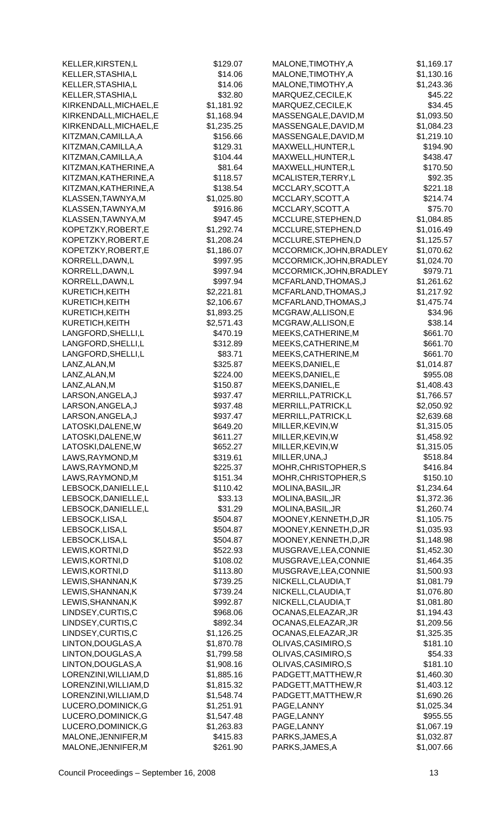| KELLER, KIRSTEN, L                       | \$129.07             | MALONE, TIMOTHY, A                        | \$1,169.17               |
|------------------------------------------|----------------------|-------------------------------------------|--------------------------|
| KELLER, STASHIA, L                       | \$14.06              | MALONE, TIMOTHY, A                        | \$1,130.16               |
| KELLER, STASHIA, L                       | \$14.06              | MALONE, TIMOTHY, A                        | \$1,243.36               |
| KELLER, STASHIA, L                       | \$32.80              | MARQUEZ, CECILE, K                        | \$45.22                  |
| KIRKENDALL, MICHAEL, E                   | \$1,181.92           | MARQUEZ, CECILE, K                        | \$34.45                  |
| KIRKENDALL, MICHAEL, E                   | \$1,168.94           | MASSENGALE, DAVID, M                      | \$1,093.50               |
| KIRKENDALL, MICHAEL, E                   | \$1,235.25           | MASSENGALE, DAVID, M                      | \$1,084.23               |
| KITZMAN, CAMILLA, A                      | \$156.66             | MASSENGALE, DAVID, M                      | \$1,219.10               |
| KITZMAN, CAMILLA, A                      | \$129.31             | MAXWELL, HUNTER, L                        | \$194.90                 |
| KITZMAN, CAMILLA, A                      | \$104.44             | MAXWELL, HUNTER, L                        | \$438.47                 |
| KITZMAN, KATHERINE, A                    | \$81.64              | MAXWELL, HUNTER, L                        | \$170.50                 |
| KITZMAN, KATHERINE, A                    | \$118.57             | MCALISTER, TERRY, L                       | \$92.35                  |
| KITZMAN, KATHERINE, A                    | \$138.54             | MCCLARY, SCOTT, A                         | \$221.18                 |
| KLASSEN, TAWNYA, M                       | \$1,025.80           | MCCLARY, SCOTT, A                         | \$214.74                 |
| KLASSEN, TAWNYA, M                       | \$916.86             | MCCLARY, SCOTT, A                         | \$75.70                  |
| KLASSEN, TAWNYA, M                       | \$947.45             | MCCLURE, STEPHEN, D                       | \$1,084.85               |
| KOPETZKY, ROBERT, E                      | \$1,292.74           | MCCLURE, STEPHEN, D                       | \$1,016.49               |
| KOPETZKY, ROBERT, E                      | \$1,208.24           | MCCLURE, STEPHEN, D                       | \$1,125.57               |
| KOPETZKY, ROBERT, E                      | \$1,186.07           | MCCORMICK, JOHN, BRADLEY                  | \$1,070.62               |
| KORRELL, DAWN, L                         | \$997.95             | MCCORMICK, JOHN, BRADLEY                  | \$1,024.70               |
| KORRELL, DAWN, L                         | \$997.94             | MCCORMICK, JOHN, BRADLEY                  | \$979.71                 |
| KORRELL, DAWN, L                         | \$997.94             | MCFARLAND, THOMAS, J                      | \$1,261.62               |
| KURETICH, KEITH                          | \$2,221.81           | MCFARLAND, THOMAS, J                      | \$1,217.92               |
| KURETICH, KEITH                          | \$2,106.67           | MCFARLAND, THOMAS, J                      | \$1,475.74               |
| KURETICH, KEITH                          | \$1,893.25           | MCGRAW, ALLISON, E                        | \$34.96                  |
| KURETICH, KEITH                          | \$2,571.43           | MCGRAW, ALLISON, E                        | \$38.14                  |
| LANGFORD, SHELLI, L                      | \$470.19             | MEEKS, CATHERINE, M                       | \$661.70                 |
| LANGFORD, SHELLI, L                      | \$312.89             | MEEKS, CATHERINE, M                       | \$661.70                 |
| LANGFORD, SHELLI, L                      | \$83.71              | MEEKS, CATHERINE, M                       | \$661.70                 |
| LANZ, ALAN, M                            | \$325.87             | MEEKS, DANIEL, E                          | \$1,014.87               |
| LANZ, ALAN, M                            | \$224.00             | MEEKS, DANIEL, E                          | \$955.08                 |
| LANZ, ALAN, M                            | \$150.87             | MEEKS, DANIEL, E                          | \$1,408.43               |
| LARSON, ANGELA, J                        | \$937.47             | MERRILL, PATRICK, L                       | \$1,766.57               |
| LARSON, ANGELA, J                        | \$937.48             | MERRILL, PATRICK, L                       | \$2,050.92               |
| LARSON, ANGELA, J                        | \$937.47             | MERRILL, PATRICK, L                       | \$2,639.68               |
| LATOSKI, DALENE, W                       | \$649.20             | MILLER, KEVIN, W                          | \$1,315.05               |
| LATOSKI, DALENE, W                       | \$611.27             | MILLER, KEVIN, W                          | \$1,458.92               |
| LATOSKI, DALENE, W                       | \$652.27             | MILLER, KEVIN, W                          | \$1,315.05               |
| LAWS, RAYMOND, M                         | \$319.61<br>\$225.37 | MILLER, UNA, J                            | \$518.84                 |
| LAWS, RAYMOND, M                         |                      | MOHR, CHRISTOPHER, S                      | \$416.84                 |
| LAWS, RAYMOND, M<br>LEBSOCK, DANIELLE, L | \$151.34<br>\$110.42 | MOHR, CHRISTOPHER, S<br>MOLINA, BASIL, JR | \$150.10                 |
| LEBSOCK, DANIELLE, L                     | \$33.13              | MOLINA, BASIL, JR                         | \$1,234.64<br>\$1,372.36 |
| LEBSOCK, DANIELLE, L                     | \$31.29              | MOLINA, BASIL, JR                         | \$1,260.74               |
| LEBSOCK,LISA,L                           | \$504.87             | MOONEY, KENNETH, D, JR                    | \$1,105.75               |
| LEBSOCK,LISA,L                           | \$504.87             | MOONEY, KENNETH, D, JR                    | \$1,035.93               |
| LEBSOCK,LISA,L                           | \$504.87             | MOONEY, KENNETH, D, JR                    | \$1,148.98               |
| LEWIS, KORTNI, D                         | \$522.93             | MUSGRAVE, LEA, CONNIE                     | \$1,452.30               |
| LEWIS, KORTNI, D                         | \$108.02             | MUSGRAVE, LEA, CONNIE                     | \$1,464.35               |
| LEWIS, KORTNI, D                         | \$113.80             | MUSGRAVE, LEA, CONNIE                     | \$1,500.93               |
| LEWIS, SHANNAN, K                        | \$739.25             | NICKELL, CLAUDIA, T                       | \$1,081.79               |
| LEWIS, SHANNAN, K                        | \$739.24             | NICKELL, CLAUDIA, T                       | \$1,076.80               |
| LEWIS, SHANNAN, K                        | \$992.87             | NICKELL, CLAUDIA, T                       | \$1,081.80               |
| LINDSEY, CURTIS, C                       | \$968.06             | OCANAS, ELEAZAR, JR                       | \$1,194.43               |
| LINDSEY, CURTIS, C                       | \$892.34             | OCANAS, ELEAZAR, JR                       | \$1,209.56               |
| LINDSEY, CURTIS, C                       | \$1,126.25           | OCANAS, ELEAZAR, JR                       | \$1,325.35               |
| LINTON, DOUGLAS, A                       | \$1,870.78           | OLIVAS, CASIMIRO, S                       | \$181.10                 |
| LINTON, DOUGLAS, A                       | \$1,799.58           | OLIVAS, CASIMIRO, S                       | \$54.33                  |
| LINTON, DOUGLAS, A                       | \$1,908.16           | OLIVAS, CASIMIRO, S                       | \$181.10                 |
| LORENZINI, WILLIAM, D                    | \$1,885.16           | PADGETT, MATTHEW, R                       | \$1,460.30               |
| LORENZINI, WILLIAM, D                    | \$1,815.32           | PADGETT, MATTHEW, R                       | \$1,403.12               |
| LORENZINI, WILLIAM, D                    | \$1,548.74           | PADGETT, MATTHEW, R                       | \$1,690.26               |
| LUCERO, DOMINICK, G                      | \$1,251.91           | PAGE, LANNY                               | \$1,025.34               |
| LUCERO, DOMINICK, G                      | \$1,547.48           | PAGE, LANNY                               | \$955.55                 |
| LUCERO, DOMINICK, G                      | \$1,263.83           | PAGE, LANNY                               | \$1,067.19               |
| MALONE, JENNIFER, M                      | \$415.83             | PARKS, JAMES, A                           | \$1,032.87               |
| MALONE, JENNIFER, M                      | \$261.90             | PARKS, JAMES, A                           | \$1,007.66               |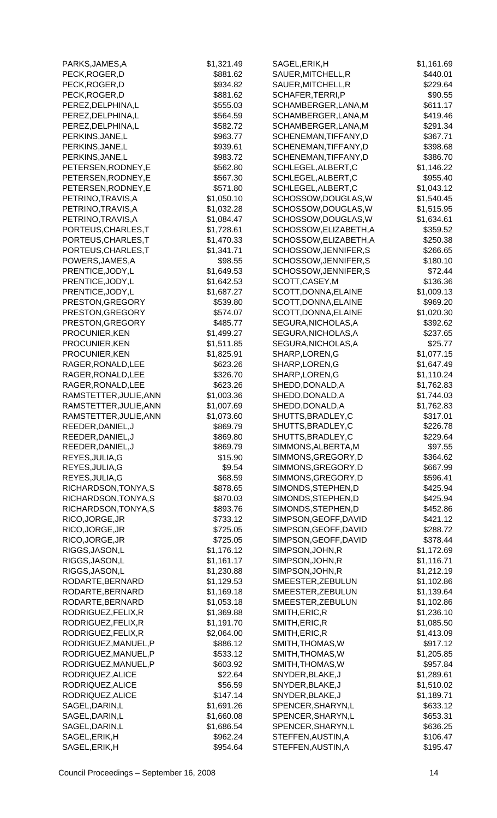| PARKS, JAMES, A        | \$1,321.49 | SAGEL, ERIK, H         | \$1,161.69 |
|------------------------|------------|------------------------|------------|
| PECK, ROGER, D         | \$881.62   | SAUER, MITCHELL, R     | \$440.01   |
| PECK, ROGER, D         | \$934.82   | SAUER, MITCHELL, R     | \$229.64   |
| PECK, ROGER, D         | \$881.62   | SCHAFER, TERRI, P      | \$90.55    |
| PEREZ, DELPHINA, L     | \$555.03   | SCHAMBERGER, LANA, M   | \$611.17   |
| PEREZ, DELPHINA, L     | \$564.59   | SCHAMBERGER, LANA, M   | \$419.46   |
| PEREZ, DELPHINA, L     | \$582.72   | SCHAMBERGER, LANA, M   | \$291.34   |
| PERKINS, JANE, L       | \$963.77   | SCHENEMAN, TIFFANY, D  | \$367.71   |
| PERKINS, JANE, L       | \$939.61   | SCHENEMAN, TIFFANY, D  | \$398.68   |
| PERKINS, JANE, L       | \$983.72   | SCHENEMAN, TIFFANY, D  | \$386.70   |
| PETERSEN, RODNEY, E    | \$562.80   | SCHLEGEL, ALBERT, C    | \$1,146.22 |
|                        |            | SCHLEGEL, ALBERT, C    |            |
| PETERSEN, RODNEY, E    | \$567.30   |                        | \$955.40   |
| PETERSEN, RODNEY, E    | \$571.80   | SCHLEGEL, ALBERT, C    | \$1,043.12 |
| PETRINO, TRAVIS, A     | \$1,050.10 | SCHOSSOW, DOUGLAS, W   | \$1,540.45 |
| PETRINO, TRAVIS, A     | \$1,032.28 | SCHOSSOW, DOUGLAS, W   | \$1,515.95 |
| PETRINO, TRAVIS, A     | \$1,084.47 | SCHOSSOW, DOUGLAS, W   | \$1,634.61 |
| PORTEUS, CHARLES, T    | \$1,728.61 | SCHOSSOW, ELIZABETH, A | \$359.52   |
| PORTEUS, CHARLES, T    | \$1,470.33 | SCHOSSOW, ELIZABETH, A | \$250.38   |
| PORTEUS, CHARLES, T    | \$1,341.71 | SCHOSSOW, JENNIFER, S  | \$266.65   |
| POWERS, JAMES, A       | \$98.55    | SCHOSSOW, JENNIFER, S  | \$180.10   |
| PRENTICE, JODY, L      | \$1,649.53 | SCHOSSOW, JENNIFER, S  | \$72.44    |
| PRENTICE, JODY, L      | \$1,642.53 | SCOTT, CASEY, M        | \$136.36   |
| PRENTICE, JODY, L      | \$1,687.27 | SCOTT, DONNA, ELAINE   | \$1,009.13 |
| PRESTON, GREGORY       | \$539.80   | SCOTT, DONNA, ELAINE   | \$969.20   |
| PRESTON, GREGORY       | \$574.07   | SCOTT, DONNA, ELAINE   | \$1,020.30 |
| PRESTON, GREGORY       | \$485.77   | SEGURA, NICHOLAS, A    | \$392.62   |
| PROCUNIER, KEN         | \$1,499.27 | SEGURA, NICHOLAS, A    | \$237.65   |
| PROCUNIER, KEN         | \$1,511.85 | SEGURA, NICHOLAS, A    | \$25.77    |
| PROCUNIER, KEN         | \$1,825.91 | SHARP, LOREN, G        | \$1,077.15 |
| RAGER, RONALD, LEE     | \$623.26   | SHARP, LOREN, G        | \$1,647.49 |
| RAGER, RONALD, LEE     | \$326.70   | SHARP, LOREN, G        | \$1,110.24 |
| RAGER, RONALD, LEE     | \$623.26   | SHEDD, DONALD, A       | \$1,762.83 |
|                        |            |                        |            |
| RAMSTETTER, JULIE, ANN | \$1,003.36 | SHEDD, DONALD, A       | \$1,744.03 |
| RAMSTETTER, JULIE, ANN | \$1,007.69 | SHEDD, DONALD, A       | \$1,762.83 |
| RAMSTETTER, JULIE, ANN | \$1,073.60 | SHUTTS, BRADLEY, C     | \$317.01   |
| REEDER, DANIEL, J      | \$869.79   | SHUTTS, BRADLEY, C     | \$226.78   |
| REEDER, DANIEL, J      | \$869.80   | SHUTTS, BRADLEY, C     | \$229.64   |
| REEDER, DANIEL, J      | \$869.79   | SIMMONS, ALBERTA, M    | \$97.55    |
| REYES, JULIA, G        | \$15.90    | SIMMONS, GREGORY, D    | \$364.62   |
| REYES, JULIA, G        | \$9.54     | SIMMONS, GREGORY, D    | \$667.99   |
| REYES, JULIA, G        | \$68.59    | SIMMONS, GREGORY, D    | \$596.41   |
| RICHARDSON, TONYA, S   | \$878.65   | SIMONDS, STEPHEN, D    | \$425.94   |
| RICHARDSON, TONYA, S   | \$870.03   | SIMONDS, STEPHEN, D    | \$425.94   |
| RICHARDSON, TONYA, S   | \$893.76   | SIMONDS, STEPHEN, D    | \$452.86   |
| RICO, JORGE, JR        | \$733.12   | SIMPSON, GEOFF, DAVID  | \$421.12   |
| RICO, JORGE, JR        | \$725.05   | SIMPSON, GEOFF, DAVID  | \$288.72   |
| RICO, JORGE, JR        | \$725.05   | SIMPSON, GEOFF, DAVID  | \$378.44   |
| RIGGS, JASON, L        | \$1,176.12 | SIMPSON, JOHN, R       | \$1,172.69 |
| RIGGS, JASON, L        | \$1,161.17 | SIMPSON, JOHN, R       | \$1,116.71 |
| RIGGS, JASON, L        | \$1,230.88 | SIMPSON, JOHN, R       | \$1,212.19 |
| RODARTE, BERNARD       | \$1,129.53 | SMEESTER, ZEBULUN      | \$1,102.86 |
| RODARTE, BERNARD       | \$1,169.18 | SMEESTER, ZEBULUN      | \$1,139.64 |
| RODARTE, BERNARD       | \$1,053.18 | SMEESTER, ZEBULUN      | \$1,102.86 |
| RODRIGUEZ, FELIX, R    | \$1,369.88 | SMITH, ERIC, R         | \$1,236.10 |
| RODRIGUEZ, FELIX, R    | \$1,191.70 | SMITH, ERIC, R         | \$1,085.50 |
| RODRIGUEZ, FELIX, R    | \$2,064.00 | SMITH, ERIC, R         | \$1,413.09 |
| RODRIGUEZ, MANUEL, P   | \$886.12   | SMITH, THOMAS, W       | \$917.12   |
|                        |            |                        |            |
| RODRIGUEZ, MANUEL, P   | \$533.12   | SMITH, THOMAS, W       | \$1,205.85 |
| RODRIGUEZ, MANUEL, P   | \$603.92   | SMITH, THOMAS, W       | \$957.84   |
| RODRIQUEZ, ALICE       | \$22.64    | SNYDER, BLAKE, J       | \$1,289.61 |
| RODRIQUEZ, ALICE       | \$56.59    | SNYDER, BLAKE, J       | \$1,510.02 |
| RODRIQUEZ, ALICE       | \$147.14   | SNYDER, BLAKE, J       | \$1,189.71 |
| SAGEL, DARIN, L        | \$1,691.26 | SPENCER, SHARYN, L     | \$633.12   |
| SAGEL, DARIN, L        | \$1,660.08 | SPENCER, SHARYN, L     | \$653.31   |
| SAGEL, DARIN, L        | \$1,686.54 | SPENCER, SHARYN, L     | \$636.25   |
| SAGEL, ERIK, H         | \$962.24   | STEFFEN, AUSTIN, A     | \$106.47   |
| SAGEL, ERIK, H         | \$954.64   | STEFFEN, AUSTIN, A     | \$195.47   |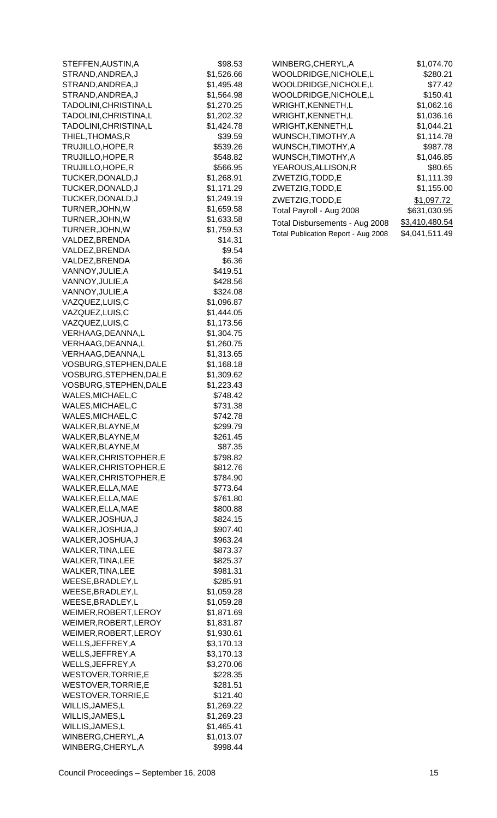| STEFFEN,AUSTIN,A                           | \$98.53                  |
|--------------------------------------------|--------------------------|
| STRAND,ANDREA,J                            | \$1,526.66               |
| STRAND,ANDREA,J                            | \$1,495.48               |
| STRAND, ANDREA, J                          | \$1,564.98               |
| TADOLINI, CHRISTINA, L                     | \$1,270.25               |
| TADOLINI,CHRISTINA,L                       | \$1,202.32               |
| TADOLINI,CHRISTINA,L                       | \$1,424.78               |
| THIEL,THOMAS,R                             | \$39.59                  |
| TRUJILLO,HOPE,R                            | \$539.26                 |
| TRUJILLO,HOPE,R                            | \$548.82                 |
| TRUJILLO, HOPE, R                          | \$566.95                 |
| TUCKER, DONALD, J                          | \$1,268.91               |
| TUCKER, DONALD, J<br>TUCKER, DONALD, J     | \$1,171.29<br>\$1,249.19 |
| TURNER, JOHN, W                            | \$1,659.58               |
| TURNER, JOHN, W                            | \$1,633.58               |
| TURNER, JOHN, W                            | \$1,759.53               |
| VALDEZ,BRENDA                              | \$14.31                  |
| VALDEZ,BRENDA                              | \$9.54                   |
| VALDEZ, BRENDA                             | \$6.36                   |
| VANNOY, JULIE, A                           | \$419.51                 |
| VANNOY, JULIE, A                           | \$428.56                 |
| VANNOY, JULIE, A                           | \$324.08                 |
| VAZQUEZ,LUIS,C                             | \$1,096.87               |
| VAZQUEZ,LUIS,C                             | \$1,444.05               |
| VAZQUEZ,LUIS,C                             | \$1,173.56               |
| VERHAAG, DEANNA, L                         | \$1,304.75               |
| VERHAAG, DEANNA, L                         | \$1,260.75               |
| VERHAAG, DEANNA, L                         | \$1,313.65               |
| VOSBURG, STEPHEN, DALE                     | \$1,168.18               |
| VOSBURG, STEPHEN, DALE                     | \$1,309.62               |
| VOSBURG, STEPHEN, DALE                     | \$1,223.43               |
| WALES,MICHAEL,C                            | \$748.42                 |
| WALES,MICHAEL,C<br>WALES, MICHAEL, C       | \$731.38<br>\$742.78     |
| WALKER, BLAYNE, M                          | \$299.79                 |
| WALKER, BLAYNE, M                          | \$261.45                 |
| WALKER, BLAYNE, M                          | \$87.35                  |
| WALKER, CHRISTOPHER, E                     | \$798.82                 |
| WALKER, CHRISTOPHER, E                     | \$812.76                 |
| WALKER, CHRISTOPHER, E                     | \$784.90                 |
| WALKER,ELLA,MAE                            | \$773.64                 |
| WALKER, ELLA, MAE                          | \$761.80                 |
| WALKER, ELLA, MAE                          | \$800.88                 |
| WALKER, JOSHUA, J                          | \$824.15                 |
| WALKER, JOSHUA, J                          | \$907.40                 |
| WALKER, JOSHUA, J                          | \$963.24                 |
| WALKER, TINA, LEE                          | \$873.37                 |
| WALKER, TINA, LEE                          | \$825.37                 |
| WALKER, TINA, LEE                          | \$981.31                 |
| WEESE, BRADLEY, L                          | \$285.91                 |
| WEESE, BRADLEY, L                          | \$1,059.28               |
| WEESE, BRADLEY, L<br>WEIMER, ROBERT, LEROY | \$1,059.28<br>\$1,871.69 |
| WEIMER, ROBERT, LEROY                      | \$1,831.87               |
| WEIMER, ROBERT, LEROY                      | \$1,930.61               |
| WELLS, JEFFREY, A                          | \$3,170.13               |
| WELLS, JEFFREY, A                          | \$3,170.13               |
| WELLS, JEFFREY, A                          | \$3,270.06               |
| WESTOVER, TORRIE, E                        | \$228.35                 |
| WESTOVER, TORRIE, E                        | \$281.51                 |
| WESTOVER, TORRIE, E                        | \$121.40                 |
| WILLIS, JAMES, L                           | \$1,269.22               |
| WILLIS, JAMES, L                           | \$1,269.23               |
| WILLIS, JAMES, L                           | \$1,465.41               |
| WINBERG, CHERYL, A                         | \$1,013.07               |
| WINBERG, CHERYL, A                         | \$998.44                 |

| WINBERG,CHERYL,A                    | \$1,074.70     |
|-------------------------------------|----------------|
| WOOLDRIDGE,NICHOLE,L                | \$280.21       |
| WOOLDRIDGE, NICHOLE, L              | \$77.42        |
| WOOLDRIDGE, NICHOLE, L              | \$150.41       |
| WRIGHT, KENNETH, L                  | \$1,062.16     |
| WRIGHT, KENNETH, L                  | \$1.036.16     |
| WRIGHT, KENNETH, L                  | \$1,044.21     |
| WUNSCH,TIMOTHY,A                    | \$1,114.78     |
| WUNSCH.TIMOTHY.A                    | \$987.78       |
| WUNSCH, TIMOTHY, A                  | \$1.046.85     |
| YEAROUS, ALLISON, R                 | \$80.65        |
| ZWETZIG, TODD, E                    | \$1,111.39     |
| ZWETZIG, TODD, E                    | \$1,155.00     |
| ZWETZIG, TODD, E                    | \$1,097.72     |
| Total Payroll - Aug 2008            | \$631,030.95   |
| Total Disbursements - Aug 2008      | \$3,410,480.54 |
| Total Publication Report - Aug 2008 | \$4,041,511.49 |
|                                     |                |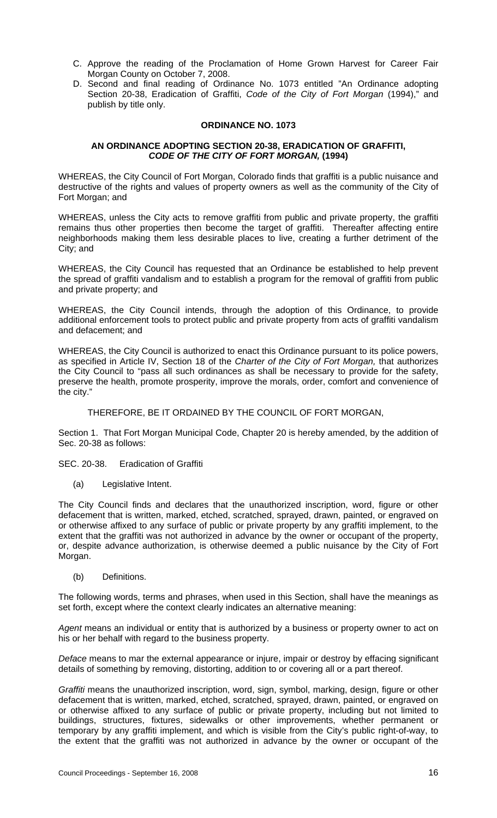- C. Approve the reading of the Proclamation of Home Grown Harvest for Career Fair Morgan County on October 7, 2008.
- D. Second and final reading of Ordinance No. 1073 entitled "An Ordinance adopting Section 20-38, Eradication of Graffiti, *Code of the City of Fort Morgan* (1994)," and publish by title only.

#### **ORDINANCE NO. 1073**

#### **AN ORDINANCE ADOPTING SECTION 20-38, ERADICATION OF GRAFFITI,**  *CODE OF THE CITY OF FORT MORGAN,* **(1994)**

WHEREAS, the City Council of Fort Morgan, Colorado finds that graffiti is a public nuisance and destructive of the rights and values of property owners as well as the community of the City of Fort Morgan; and

WHEREAS, unless the City acts to remove graffiti from public and private property, the graffiti remains thus other properties then become the target of graffiti. Thereafter affecting entire neighborhoods making them less desirable places to live, creating a further detriment of the City; and

WHEREAS, the City Council has requested that an Ordinance be established to help prevent the spread of graffiti vandalism and to establish a program for the removal of graffiti from public and private property; and

WHEREAS, the City Council intends, through the adoption of this Ordinance, to provide additional enforcement tools to protect public and private property from acts of graffiti vandalism and defacement; and

WHEREAS, the City Council is authorized to enact this Ordinance pursuant to its police powers, as specified in Article IV, Section 18 of the *Charter of the City of Fort Morgan,* that authorizes the City Council to "pass all such ordinances as shall be necessary to provide for the safety, preserve the health, promote prosperity, improve the morals, order, comfort and convenience of the city."

THEREFORE, BE IT ORDAINED BY THE COUNCIL OF FORT MORGAN,

Section 1. That Fort Morgan Municipal Code, Chapter 20 is hereby amended, by the addition of Sec. 20-38 as follows:

SEC. 20-38. Eradication of Graffiti

(a) Legislative Intent.

The City Council finds and declares that the unauthorized inscription, word, figure or other defacement that is written, marked, etched, scratched, sprayed, drawn, painted, or engraved on or otherwise affixed to any surface of public or private property by any graffiti implement, to the extent that the graffiti was not authorized in advance by the owner or occupant of the property, or, despite advance authorization, is otherwise deemed a public nuisance by the City of Fort Morgan.

(b) Definitions.

The following words, terms and phrases, when used in this Section, shall have the meanings as set forth, except where the context clearly indicates an alternative meaning:

Agent means an individual or entity that is authorized by a business or property owner to act on his or her behalf with regard to the business property.

*Deface* means to mar the external appearance or injure, impair or destroy by effacing significant details of something by removing, distorting, addition to or covering all or a part thereof.

*Graffiti* means the unauthorized inscription, word, sign, symbol, marking, design, figure or other defacement that is written, marked, etched, scratched, sprayed, drawn, painted, or engraved on or otherwise affixed to any surface of public or private property, including but not limited to buildings, structures, fixtures, sidewalks or other improvements, whether permanent or temporary by any graffiti implement, and which is visible from the City's public right-of-way, to the extent that the graffiti was not authorized in advance by the owner or occupant of the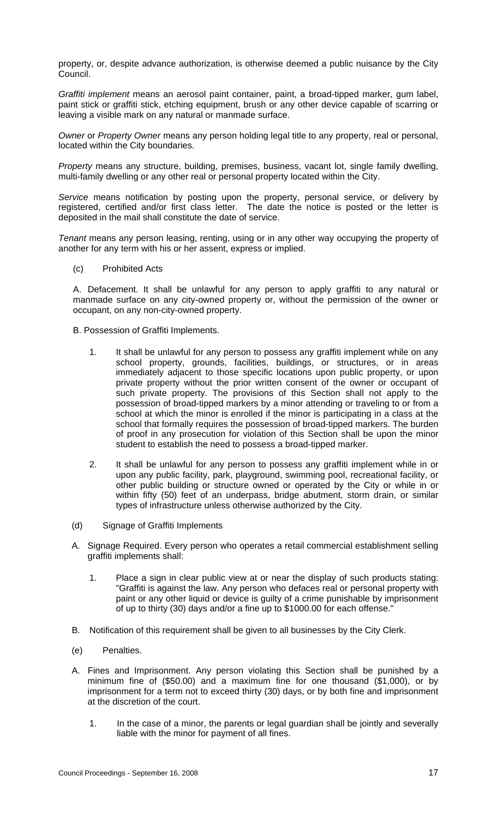property, or, despite advance authorization, is otherwise deemed a public nuisance by the City Council.

*Graffiti implement* means an aerosol paint container, paint, a broad-tipped marker, gum label, paint stick or graffiti stick, etching equipment, brush or any other device capable of scarring or leaving a visible mark on any natural or manmade surface.

*Owner* or *Property Owner* means any person holding legal title to any property, real or personal, located within the City boundaries.

*Property* means any structure, building, premises, business, vacant lot, single family dwelling, multi-family dwelling or any other real or personal property located within the City.

*Service* means notification by posting upon the property, personal service, or delivery by registered, certified and/or first class letter. The date the notice is posted or the letter is deposited in the mail shall constitute the date of service.

*Tenant* means any person leasing, renting, using or in any other way occupying the property of another for any term with his or her assent, express or implied.

(c) Prohibited Acts

A. Defacement. It shall be unlawful for any person to apply graffiti to any natural or manmade surface on any city-owned property or, without the permission of the owner or occupant, on any non-city-owned property.

B. Possession of Graffiti Implements.

- 1. It shall be unlawful for any person to possess any graffiti implement while on any school property, grounds, facilities, buildings, or structures, or in areas immediately adjacent to those specific locations upon public property, or upon private property without the prior written consent of the owner or occupant of such private property. The provisions of this Section shall not apply to the possession of broad-tipped markers by a minor attending or traveling to or from a school at which the minor is enrolled if the minor is participating in a class at the school that formally requires the possession of broad-tipped markers. The burden of proof in any prosecution for violation of this Section shall be upon the minor student to establish the need to possess a broad-tipped marker.
- 2. It shall be unlawful for any person to possess any graffiti implement while in or upon any public facility, park, playground, swimming pool, recreational facility, or other public building or structure owned or operated by the City or while in or within fifty (50) feet of an underpass, bridge abutment, storm drain, or similar types of infrastructure unless otherwise authorized by the City.
- (d) Signage of Graffiti Implements
- A. Signage Required. Every person who operates a retail commercial establishment selling graffiti implements shall:
	- 1. Place a sign in clear public view at or near the display of such products stating: "Graffiti is against the law. Any person who defaces real or personal property with paint or any other liquid or device is guilty of a crime punishable by imprisonment of up to thirty (30) days and/or a fine up to \$1000.00 for each offense."
- B. Notification of this requirement shall be given to all businesses by the City Clerk.
- (e) Penalties.
- A. Fines and Imprisonment. Any person violating this Section shall be punished by a minimum fine of (\$50.00) and a maximum fine for one thousand (\$1,000), or by imprisonment for a term not to exceed thirty (30) days, or by both fine and imprisonment at the discretion of the court.
	- 1. In the case of a minor, the parents or legal guardian shall be jointly and severally liable with the minor for payment of all fines.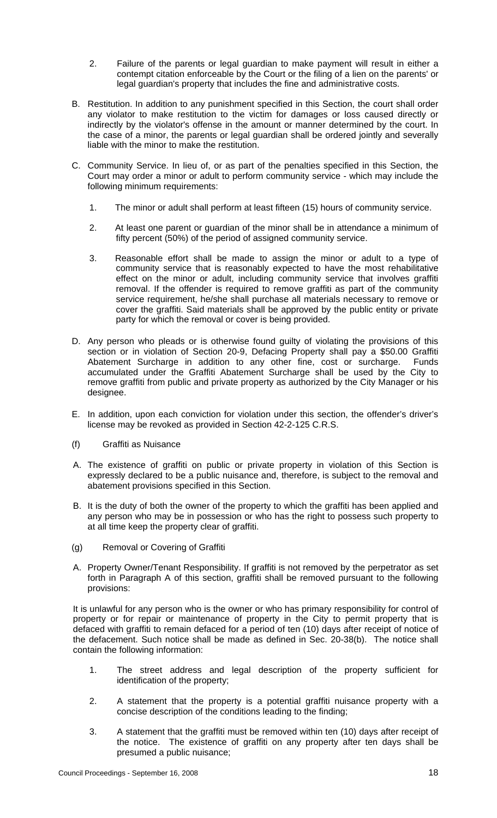- 2. Failure of the parents or legal guardian to make payment will result in either a contempt citation enforceable by the Court or the filing of a lien on the parents' or legal guardian's property that includes the fine and administrative costs.
- B. Restitution. In addition to any punishment specified in this Section, the court shall order any violator to make restitution to the victim for damages or loss caused directly or indirectly by the violator's offense in the amount or manner determined by the court. In the case of a minor, the parents or legal guardian shall be ordered jointly and severally liable with the minor to make the restitution.
- C. Community Service. In lieu of, or as part of the penalties specified in this Section, the Court may order a minor or adult to perform community service - which may include the following minimum requirements:
	- 1. The minor or adult shall perform at least fifteen (15) hours of community service.
	- 2. At least one parent or guardian of the minor shall be in attendance a minimum of fifty percent (50%) of the period of assigned community service.
	- 3. Reasonable effort shall be made to assign the minor or adult to a type of community service that is reasonably expected to have the most rehabilitative effect on the minor or adult, including community service that involves graffiti removal. If the offender is required to remove graffiti as part of the community service requirement, he/she shall purchase all materials necessary to remove or cover the graffiti. Said materials shall be approved by the public entity or private party for which the removal or cover is being provided.
- D. Any person who pleads or is otherwise found guilty of violating the provisions of this section or in violation of Section 20-9, Defacing Property shall pay a \$50.00 Graffiti Abatement Surcharge in addition to any other fine, cost or surcharge. Funds accumulated under the Graffiti Abatement Surcharge shall be used by the City to remove graffiti from public and private property as authorized by the City Manager or his designee.
- E. In addition, upon each conviction for violation under this section, the offender's driver's license may be revoked as provided in Section 42-2-125 C.R.S.
- (f) Graffiti as Nuisance
- A. The existence of graffiti on public or private property in violation of this Section is expressly declared to be a public nuisance and, therefore, is subject to the removal and abatement provisions specified in this Section.
- B. It is the duty of both the owner of the property to which the graffiti has been applied and any person who may be in possession or who has the right to possess such property to at all time keep the property clear of graffiti.
- (g) Removal or Covering of Graffiti
- A. Property Owner/Tenant Responsibility. If graffiti is not removed by the perpetrator as set forth in Paragraph A of this section, graffiti shall be removed pursuant to the following provisions:

It is unlawful for any person who is the owner or who has primary responsibility for control of property or for repair or maintenance of property in the City to permit property that is defaced with graffiti to remain defaced for a period of ten (10) days after receipt of notice of the defacement. Such notice shall be made as defined in Sec. 20-38(b). The notice shall contain the following information:

- 1. The street address and legal description of the property sufficient for identification of the property;
- 2. A statement that the property is a potential graffiti nuisance property with a concise description of the conditions leading to the finding;
- 3. A statement that the graffiti must be removed within ten (10) days after receipt of the notice. The existence of graffiti on any property after ten days shall be presumed a public nuisance;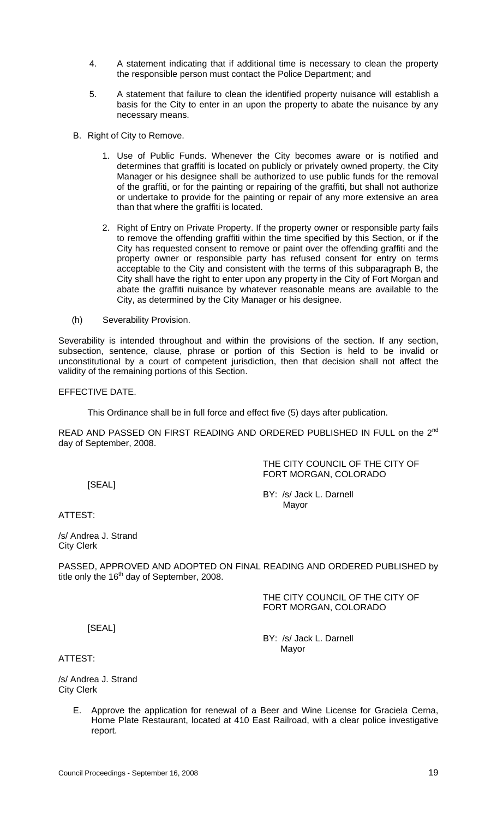- 4. A statement indicating that if additional time is necessary to clean the property the responsible person must contact the Police Department; and
- 5. A statement that failure to clean the identified property nuisance will establish a basis for the City to enter in an upon the property to abate the nuisance by any necessary means.
- B. Right of City to Remove.
	- 1. Use of Public Funds. Whenever the City becomes aware or is notified and determines that graffiti is located on publicly or privately owned property, the City Manager or his designee shall be authorized to use public funds for the removal of the graffiti, or for the painting or repairing of the graffiti, but shall not authorize or undertake to provide for the painting or repair of any more extensive an area than that where the graffiti is located.
	- 2. Right of Entry on Private Property. If the property owner or responsible party fails to remove the offending graffiti within the time specified by this Section, or if the City has requested consent to remove or paint over the offending graffiti and the property owner or responsible party has refused consent for entry on terms acceptable to the City and consistent with the terms of this subparagraph B, the City shall have the right to enter upon any property in the City of Fort Morgan and abate the graffiti nuisance by whatever reasonable means are available to the City, as determined by the City Manager or his designee.
- (h) Severability Provision.

Severability is intended throughout and within the provisions of the section. If any section, subsection, sentence, clause, phrase or portion of this Section is held to be invalid or unconstitutional by a court of competent jurisdiction, then that decision shall not affect the validity of the remaining portions of this Section.

#### EFFECTIVE DATE.

This Ordinance shall be in full force and effect five (5) days after publication.

READ AND PASSED ON FIRST READING AND ORDERED PUBLISHED IN FULL on the 2<sup>nd</sup> day of September, 2008.

> THE CITY COUNCIL OF THE CITY OF FORT MORGAN, COLORADO

[SEAL]

BY: /s/ Jack L. Darnell Mayor and the contract of the Mayor Mayor

ATTEST:

/s/ Andrea J. Strand City Clerk

PASSED, APPROVED AND ADOPTED ON FINAL READING AND ORDERED PUBLISHED by title only the  $16<sup>th</sup>$  day of September, 2008.

> THE CITY COUNCIL OF THE CITY OF FORT MORGAN, COLORADO

[SEAL]

BY: /s/ Jack L. Darnell Mayor

ATTEST:

/s/ Andrea J. Strand City Clerk

> E. Approve the application for renewal of a Beer and Wine License for Graciela Cerna, Home Plate Restaurant, located at 410 East Railroad, with a clear police investigative report.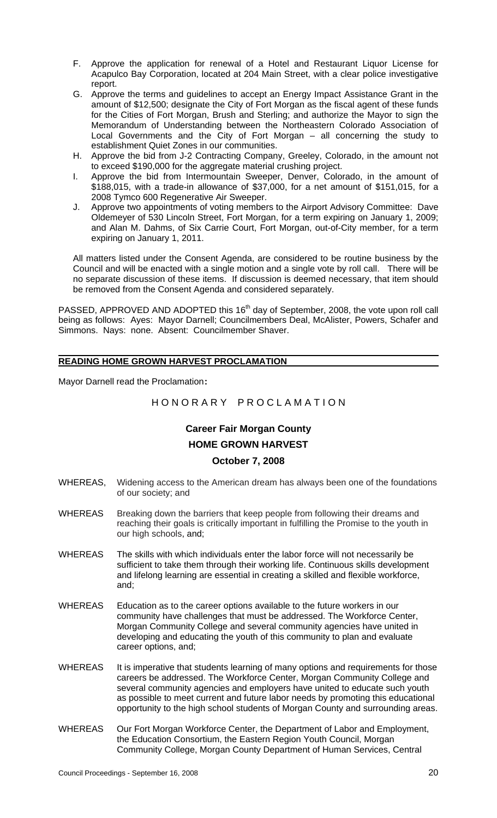- F. Approve the application for renewal of a Hotel and Restaurant Liquor License for Acapulco Bay Corporation, located at 204 Main Street, with a clear police investigative report.
- G. Approve the terms and guidelines to accept an Energy Impact Assistance Grant in the amount of \$12,500; designate the City of Fort Morgan as the fiscal agent of these funds for the Cities of Fort Morgan, Brush and Sterling; and authorize the Mayor to sign the Memorandum of Understanding between the Northeastern Colorado Association of Local Governments and the City of Fort Morgan – all concerning the study to establishment Quiet Zones in our communities.
- H. Approve the bid from J-2 Contracting Company, Greeley, Colorado, in the amount not to exceed \$190,000 for the aggregate material crushing project.
- I. Approve the bid from Intermountain Sweeper, Denver, Colorado, in the amount of \$188,015, with a trade-in allowance of \$37,000, for a net amount of \$151,015, for a 2008 Tymco 600 Regenerative Air Sweeper.
- J. Approve two appointments of voting members to the Airport Advisory Committee: Dave Oldemeyer of 530 Lincoln Street, Fort Morgan, for a term expiring on January 1, 2009; and Alan M. Dahms, of Six Carrie Court, Fort Morgan, out-of-City member, for a term expiring on January 1, 2011.

All matters listed under the Consent Agenda, are considered to be routine business by the Council and will be enacted with a single motion and a single vote by roll call. There will be no separate discussion of these items. If discussion is deemed necessary, that item should be removed from the Consent Agenda and considered separately.

PASSED, APPROVED AND ADOPTED this 16<sup>th</sup> day of September, 2008, the vote upon roll call being as follows: Ayes: Mayor Darnell; Councilmembers Deal, McAlister, Powers, Schafer and Simmons. Nays: none. Absent: Councilmember Shaver.

#### **READING HOME GROWN HARVEST PROCLAMATION**

Mayor Darnell read the Proclamation:

# H O N O R A R Y P R O C L A M A T I O N

# **Career Fair Morgan County HOME GROWN HARVEST**

## **October 7, 2008**

- WHEREAS, Widening access to the American dream has always been one of the foundations of our society; and
- WHEREAS Breaking down the barriers that keep people from following their dreams and reaching their goals is critically important in fulfilling the Promise to the youth in our high schools, and;
- WHEREAS The skills with which individuals enter the labor force will not necessarily be sufficient to take them through their working life. Continuous skills development and lifelong learning are essential in creating a skilled and flexible workforce, and;
- WHEREAS Education as to the career options available to the future workers in our community have challenges that must be addressed. The Workforce Center, Morgan Community College and several community agencies have united in developing and educating the youth of this community to plan and evaluate career options, and;
- WHEREAS It is imperative that students learning of many options and requirements for those careers be addressed. The Workforce Center, Morgan Community College and several community agencies and employers have united to educate such youth as possible to meet current and future labor needs by promoting this educational opportunity to the high school students of Morgan County and surrounding areas.
- WHEREAS Our Fort Morgan Workforce Center, the Department of Labor and Employment, the Education Consortium, the Eastern Region Youth Council, Morgan Community College, Morgan County Department of Human Services, Central